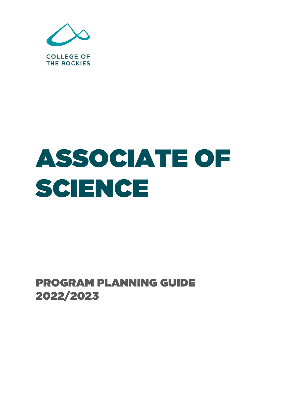

# ASSOCIATE OF SCIENCE

PROGRAM PLANNING GUIDE 2022/2023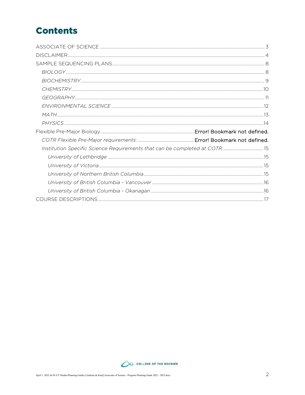## **Contents**

| Institution Specific Science Requirements that can be completed at COTR 15 |  |
|----------------------------------------------------------------------------|--|
|                                                                            |  |
|                                                                            |  |
|                                                                            |  |
|                                                                            |  |
|                                                                            |  |
|                                                                            |  |

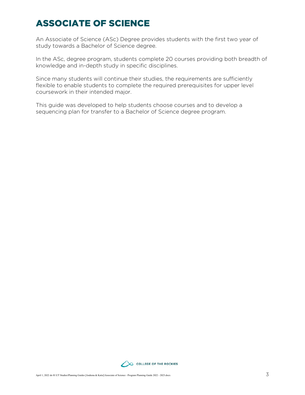## <span id="page-2-0"></span>ASSOCIATE OF SCIENCE

An Associate of Science (ASc) Degree provides students with the first two year of study towards a Bachelor of Science degree.

In the ASc, degree program, students complete 20 courses providing both breadth of knowledge and in-depth study in specific disciplines.

Since many students will continue their studies, the requirements are sufficiently flexible to enable students to complete the required prerequisites for upper level coursework in their intended major.

This guide was developed to help students choose courses and to develop a sequencing plan for transfer to a Bachelor of Science degree program.

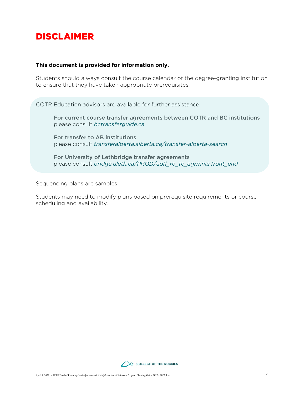## <span id="page-3-0"></span>DISCLAIMER

#### **This document is provided for information only.**

Students should always consult the course calendar of the degree-granting institution to ensure that they have taken appropriate prerequisites.

COTR Education advisors are available for further assistance.

For current course transfer agreements between COTR and BC institutions please consult *bctransferguide.ca*

For transfer to AB institutions please consult *[transferalberta.alberta.ca/transfer-alberta-search](http://transferalberta.alberta.ca/transfer-alberta-search)*

For University of Lethbridge transfer agreements please consult *[bridge.uleth.ca/PROD/uofl\\_ro\\_tc\\_agrmnts.front\\_end](https://bridge.uleth.ca/PROD/uofl_ro_tc_agrmnts.front_end)*

Sequencing plans are samples.

Students may need to modify plans based on prerequisite requirements or course scheduling and availability.

![](_page_3_Picture_9.jpeg)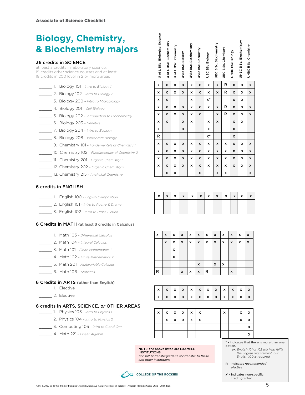## **Biology, Chemistry, & Biochemistry majors**

#### 36 credits in SCIENCE

| 1. Biology 101 - Intro to Biology 1 |
|-------------------------------------|
| 2. Biology 102 - Intro to Biology 2 |

- \_\_\_\_\_ 3. Biology 200 *Intro to Microbiology*
- \_\_\_\_\_ 4. Biology 201 *Cell Biology*
- \_\_\_\_\_ 5. Biology 202 *Introduction to Biochemistry*
- \_\_\_\_\_ 6. Biology 203 *Genetics*
- \_\_\_\_\_ 7. Biology 204 *Intro to Ecology*
- \_\_\_\_\_ 8. Biology 208 *Vertebrate Biology*
- \_\_\_\_\_ 9. Chemistry 101 *Fundamentals of Chemistry 1*
- \_\_\_\_\_ 10. Chemistry 102 *Fundamentals of Chemistry 2*
- \_\_\_\_\_ 11. Chemistry 201 *Organic Chemistry 1*
- \_\_\_\_\_ 12. Chemistry 202 *Organic Chemistry 2*
- \_\_\_\_\_ 13. Chemistry 215 *Analytical Chemistry*

#### 6 credits in ENGLISH

- \_\_\_\_\_ 1. English 100 *English Composition*
- \_\_\_\_\_ 2. English 101 *Intro to Poetry & Drama*
- \_\_\_\_\_ 3. English 102 *Intro to Prose Fiction*

#### 6 Credits in MATH (at least 3 credits in Calculus)

- \_\_\_\_\_ 1. Math 103 *Differential Calculus* \_\_\_\_\_ 2. Math 104 – *Integral Calculus* \_\_\_\_\_ 3. Math 101 – *Finite Mathematics 1* \_\_\_\_\_ 4. Math 102 – *Finite Mathematics 2*
- \_\_\_\_\_ 5. Math 201 *Multivariable Calculus*
- \_\_\_\_\_ 6. Math 106 *Statistics*

#### 6 Credits in ARTS (other than English)

- \_\_\_\_\_ 1. Elective
- \_\_\_\_\_ 2. Elective

#### 6 credits in ARTS, SCIENCE, *or* OTHER AREAS

- \_\_\_\_\_ 1. Physics 103 *Intro to Physics 1*
	- \_\_\_\_\_ 2. Physics 104 *Intro to Physics 2*
- \_\_\_\_\_ 3. Computing 105 *Intro to C and C++*
- \_\_\_\_\_ 4. Math 221 *Linear Algebra*

| <b>Biology, Chemistry,</b><br>& Biochemistry majors<br><b>36 credits in SCIENCE</b><br>at least 3 credits in laboratory science,<br>15 credits other science courses and at least<br>18 credits in 200 level in 2 or more areas |                                                                                                                                         | of L BSc. Biological Science<br>$\Rightarrow$ | L BSc. Biochemistry<br>$\overleftarrow{\mathrm{o}}$<br>C | Chemistry<br>U of L BSc. | UVic BSc. Biology | UVic BSc. Biochemistry | UVic BSc. Chemistry | <b>UBC BSc Biology</b> | UBC B Sc. Biochemistry | <b>CB Sc. Chemistry</b><br>уan | UNBC BSc Biology    | UNBC B Sc. Biochemistry | UNBC B Sc. Chemistry                                                                                                                            |  |
|---------------------------------------------------------------------------------------------------------------------------------------------------------------------------------------------------------------------------------|-----------------------------------------------------------------------------------------------------------------------------------------|-----------------------------------------------|----------------------------------------------------------|--------------------------|-------------------|------------------------|---------------------|------------------------|------------------------|--------------------------------|---------------------|-------------------------|-------------------------------------------------------------------------------------------------------------------------------------------------|--|
| 1. Biology 101 - Intro to Biology 1                                                                                                                                                                                             |                                                                                                                                         | x                                             | x                                                        | x                        | x                 | x                      | x                   | x                      | x                      | R.                             | x                   | x                       | X                                                                                                                                               |  |
| 2. Biology 102 - Intro to Biology 2                                                                                                                                                                                             |                                                                                                                                         | x                                             | x                                                        | x                        | x                 | x                      | x                   | x                      | x                      | R.                             | x                   | x                       | x                                                                                                                                               |  |
| 3. Biology 200 - Intro to Microbiology                                                                                                                                                                                          |                                                                                                                                         | x                                             | x                                                        |                          |                   | x                      |                     | $x^*$                  |                        |                                | x                   | x                       |                                                                                                                                                 |  |
| 4. Biology 201 - Cell Biology                                                                                                                                                                                                   |                                                                                                                                         | x                                             | x                                                        | x                        | x                 | x                      | X                   | x                      | x                      | R                              | x                   | x                       | X                                                                                                                                               |  |
| 5. Biology 202 - Introduction to Biochemistry                                                                                                                                                                                   |                                                                                                                                         | x                                             | X                                                        | x                        | X                 | x                      | X                   |                        | x                      | R                              | x                   | X                       | X                                                                                                                                               |  |
| 6. Biology 203 - Genetics                                                                                                                                                                                                       |                                                                                                                                         | x                                             | x                                                        |                          | x                 | x                      |                     | x                      | x                      |                                | x                   | x                       |                                                                                                                                                 |  |
| 7. Biology 204 - Intro to Ecology                                                                                                                                                                                               |                                                                                                                                         | x                                             |                                                          |                          | x                 |                        |                     | x                      |                        |                                | x                   |                         |                                                                                                                                                 |  |
| 8. Biology 208 - Vertebrate Biology                                                                                                                                                                                             |                                                                                                                                         | R                                             |                                                          |                          |                   |                        |                     | x*                     |                        |                                | x                   |                         |                                                                                                                                                 |  |
| 9. Chemistry 101 - Fundamentals of Chemistry 1                                                                                                                                                                                  |                                                                                                                                         | x                                             | X                                                        | x                        | x                 | x                      | x                   | x                      | x                      | x                              | x                   | x                       | X                                                                                                                                               |  |
| 10. Chemistry 102 - Fundamentals of Chemistry 2                                                                                                                                                                                 |                                                                                                                                         | x                                             | x                                                        | x                        | x                 | x                      | x                   | x                      | x                      | x                              | x                   | x                       | x                                                                                                                                               |  |
| 11. Chemistry 201 - Organic Chemistry 1                                                                                                                                                                                         |                                                                                                                                         | x                                             | x                                                        | x                        | x                 | x                      | x                   | x                      | x                      | x                              | x                   | x                       | x                                                                                                                                               |  |
| 12. Chemistry 202 - Organic Chemistry 2                                                                                                                                                                                         |                                                                                                                                         | x                                             | x                                                        | x                        | X                 | x                      | x                   | x                      | x                      | x                              | x                   | x                       | x                                                                                                                                               |  |
| 13. Chemistry 215 - Analytical Chemistry                                                                                                                                                                                        |                                                                                                                                         |                                               | x                                                        | x                        |                   |                        | x                   |                        | x                      | x                              |                     |                         | x                                                                                                                                               |  |
| <b>6 credits in ENGLISH</b>                                                                                                                                                                                                     |                                                                                                                                         |                                               |                                                          |                          |                   |                        |                     |                        |                        |                                |                     |                         |                                                                                                                                                 |  |
| 1. English 100 - English Composition                                                                                                                                                                                            |                                                                                                                                         | x                                             | x                                                        | x                        | X                 | x                      | x                   | x                      | x                      | x                              | x                   | x                       | x                                                                                                                                               |  |
| 2. English 101 - Intro to Poetry & Drama                                                                                                                                                                                        |                                                                                                                                         |                                               |                                                          |                          |                   |                        |                     |                        |                        |                                |                     |                         |                                                                                                                                                 |  |
| 3. English 102 - Intro to Prose Fiction                                                                                                                                                                                         |                                                                                                                                         |                                               |                                                          |                          |                   |                        |                     |                        |                        |                                |                     |                         |                                                                                                                                                 |  |
| 6 Credits in MATH (at least 3 credits in Calculus)                                                                                                                                                                              |                                                                                                                                         |                                               |                                                          |                          |                   |                        |                     |                        |                        |                                |                     |                         |                                                                                                                                                 |  |
| 1. Math 103 - Differential Calculus                                                                                                                                                                                             |                                                                                                                                         | x                                             | X                                                        | x                        | x                 | x                      | x                   | x                      | x                      | x                              | x                   | x                       | x                                                                                                                                               |  |
| 2. Math 104 - Integral Calculus                                                                                                                                                                                                 |                                                                                                                                         |                                               | X                                                        | x                        | x                 | x                      | x                   | x                      | x                      | x                              | x                   | x                       | x                                                                                                                                               |  |
| 3. Math 101 - Finite Mathematics 1                                                                                                                                                                                              |                                                                                                                                         |                                               |                                                          | x                        |                   |                        |                     |                        |                        |                                |                     |                         |                                                                                                                                                 |  |
| 4. Math 102 - Finite Mathematics 2                                                                                                                                                                                              |                                                                                                                                         |                                               |                                                          | x                        |                   |                        |                     |                        |                        |                                |                     |                         |                                                                                                                                                 |  |
| 5. Math 201 - Multivariable Calculus                                                                                                                                                                                            |                                                                                                                                         |                                               |                                                          |                          |                   |                        | x                   |                        | x                      | x                              |                     |                         |                                                                                                                                                 |  |
| 6. Math 106 - Statistics                                                                                                                                                                                                        |                                                                                                                                         | R                                             |                                                          |                          | x                 | x                      | x                   | R                      |                        |                                | X                   |                         |                                                                                                                                                 |  |
| <b>6 Credits in ARTS</b> (other than English)                                                                                                                                                                                   |                                                                                                                                         |                                               |                                                          |                          |                   |                        |                     |                        |                        |                                |                     |                         |                                                                                                                                                 |  |
| _______ 1. Elective                                                                                                                                                                                                             |                                                                                                                                         | x                                             | x                                                        | x                        | x                 | x                      | x                   | x                      | x                      | x                              | x                   | x                       | x                                                                                                                                               |  |
|                                                                                                                                                                                                                                 |                                                                                                                                         | x                                             | X                                                        | x                        | X                 | x                      | X                   | x                      | X                      | x                              | X                   | x                       | x                                                                                                                                               |  |
| <b>6 credits in ARTS, SCIENCE, or OTHER AREAS</b>                                                                                                                                                                               |                                                                                                                                         |                                               |                                                          |                          |                   |                        |                     |                        |                        |                                |                     |                         |                                                                                                                                                 |  |
| 1. Physics 103 - Intro to Physics 1                                                                                                                                                                                             |                                                                                                                                         | x                                             | x                                                        | x                        | x                 | x                      | x                   |                        |                        | x                              |                     | x                       | x                                                                                                                                               |  |
| 2. Physics 104 - Intro to Physics 2                                                                                                                                                                                             |                                                                                                                                         |                                               | x                                                        | x                        | x                 | x                      | x                   |                        |                        |                                |                     | x                       | x                                                                                                                                               |  |
| 3. Computing 105 - Intro to C and C++                                                                                                                                                                                           |                                                                                                                                         |                                               |                                                          |                          |                   |                        |                     |                        |                        |                                |                     |                         | x                                                                                                                                               |  |
| 4. Math 221 - Linear Algebra                                                                                                                                                                                                    |                                                                                                                                         |                                               |                                                          |                          |                   |                        |                     |                        |                        |                                |                     |                         | x                                                                                                                                               |  |
|                                                                                                                                                                                                                                 | NOTE: the above listed are EXAMPLE<br><b>INSTITUTIONS</b><br>Consult bctransferguide.ca for transfer to these<br>and other institutions |                                               |                                                          |                          |                   |                        |                     |                        |                        |                                | option.<br>elective |                         | * - indicates that there is mor<br>ex. English 101 or 102 will<br>the English requireme<br>English 100 is required<br>R - indicates recommended |  |
| April 1, 2022 do H:\UT Studies\Planning Guides [Andrena & Katie]\Associate of Science - Program Planning Guide 2022 - 2023.docx                                                                                                 | <b>COLLEGE OF THE ROCKIES</b>                                                                                                           |                                               |                                                          |                          |                   |                        |                     |                        |                        |                                |                     | credit granted          | $x1$ - indicates non-specific                                                                                                                   |  |

|  |  | $x   x   x   x   x   x   x   x   x   x   x   x$ |  |  |  |  |
|--|--|-------------------------------------------------|--|--|--|--|
|  |  |                                                 |  |  |  |  |
|  |  |                                                 |  |  |  |  |

| x | $\boldsymbol{\mathsf{x}}$ | $\mathsf{I} \mathsf{X}$   | $\mathbf x$  | $\mathsf{I} \mathsf{X}$ | $\mathbf{x}$              | $\mathsf{I} \mathsf{x}$ | $\mathbf{x}$            | $\mathsf{X}$ | $\mathsf{I} \mathsf{X}$   | $\mathsf{I} \mathsf{x}$ | $\mathbf{x}$              |
|---|---------------------------|---------------------------|--------------|-------------------------|---------------------------|-------------------------|-------------------------|--------------|---------------------------|-------------------------|---------------------------|
|   | x                         | $\boldsymbol{\mathsf{x}}$ | $\mathbf{x}$ | $\mathbf{x}$            | $\boldsymbol{\mathsf{x}}$ | $\mathbf{x}$            | $\overline{\mathbf{x}}$ | $\mathbf{x}$ | $\boldsymbol{\mathsf{x}}$ | $\mathbf{x}$            | $\boldsymbol{\mathsf{x}}$ |
|   |                           | x                         |              |                         |                           |                         |                         |              |                           |                         |                           |
|   |                           | X                         |              |                         |                           |                         |                         |              |                           |                         |                           |
|   |                           |                           |              |                         | X                         |                         | x                       | ∣ x          |                           |                         |                           |
| R |                           |                           | X            | X                       | $\pmb{\chi}$              | $\mathsf{R}$            |                         |              | X                         |                         |                           |

| $x \mid x \mid x \mid x \mid x \mid x \mid x \mid x \mid x \mid x \mid x \mid x$ |  |  |  |  |  |  |
|----------------------------------------------------------------------------------|--|--|--|--|--|--|
| $x \mid x \mid x \mid x \mid x \mid x \mid x \mid x \mid x \mid x \mid x \mid x$ |  |  |  |  |  |  |

|  |   | x   x   x   x   x   x    |  |  | $\boldsymbol{\mathsf{x}}$ | <b>X</b> | $\boldsymbol{\mathsf{x}}$ |
|--|---|--------------------------|--|--|---------------------------|----------|---------------------------|
|  | x | $x \mid x \mid x \mid x$ |  |  |                           | x        | $\boldsymbol{\mathsf{x}}$ |
|  |   |                          |  |  |                           |          | v                         |
|  |   |                          |  |  |                           |          |                           |

#### **\*** - indicates that there is more than one option.

#### ex. *English 101 or 102 will help fulfill the English requirement, but English 100 is required.*

#### **x1** - indicates non-specific credit granted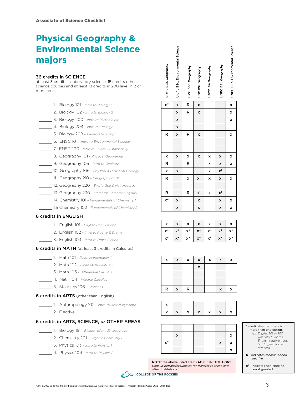## **Physical Geography & Environmental Science majors**

#### 36 credits in SCIENCE

at least 3 credits in laboratory science, 15 credits other science courses and at least 18 credits in 200 level in 2 or more areas

- \_\_\_\_\_ 1. Biology 101 *Intro to Biology 1*
- \_\_\_\_\_ 2. Biology 102 *Intro to Biology 2*
- \_\_\_\_\_ 3. Biology 200 *Intro to Microbiology*
- \_\_\_\_\_ 4. Biology 204 *Intro to Ecology*
- \_\_\_\_\_ 5. Biology 208 *Vertebrate biology*
- \_\_\_\_\_ 6. ENSC 101 *Intro to Environmental Science*
- \_\_\_\_\_ 7. ENST 200 *Intro to Enviro. Sustainability*
- \_\_\_\_\_ 8. Geography 101 *Physical Geography*
- \_\_\_\_\_ 9. Geography 105 *Intro to Geology*
- \_\_\_\_\_ 10. Geography 106 *Physical & Historical Geology*
- \_\_\_\_\_ 11. Geography 210 *Geography of BC*
- \_\_\_\_\_ 12. Geography 220 *Envrio Geo & Nat .Hazards*
- \_\_\_\_\_ 13. Geography 230 *Meteorol, Climatol & Hydrol*
- \_\_\_\_\_ 14. Chemistry 101 *Fundamentals of Chemistry 1*
- \_\_\_\_\_ 1.5 Chemistry 102 *Fundamentals of Chemistry 2*

#### 6 credits in ENGLISH

- \_\_\_\_\_ 1. English 101 *English Composition*
- \_\_\_\_\_ 2. English 102 *Intro to Poetry & Drama*
- \_\_\_\_\_ 3. English 103 *Intro to Prose Fiction*

#### 6 credits in MATH (at least 3 credits in Calculus)

- \_\_\_\_\_ 1. Math 101 *Finite Mathematics 1*
- \_\_\_\_\_ 2. Math 102 *Finite Mathematics 2*
- \_\_\_\_\_ 3. Math 103 *Differential Calculus*
- \_\_\_\_\_ 4. Math 104 *Integral Calculus*
- \_\_\_\_\_ 5. Statistics 106 *Statistics*

#### 6 credits in ARTS (other than English)

- \_\_\_\_\_ 1. Anthropology 102 *Intro to Arch/Phys Anth*
- 2. Elective

#### 6 credits in ARTS, SCIENCE, *or* OTHER AREAS

- \_\_\_\_\_ 1. Biology 151 *Biology of the Environment*
- \_\_\_\_\_ 2. Chemistry 201 *Organic Chemistry 1*
- \_\_\_\_\_ 3. Physics 103 *Intro to Physics 1*
- \_\_\_\_\_ 4. Physics 104 *Intro to Physics 2*

| Ω |                     |
|---|---------------------|
|   |                     |
|   |                     |
|   |                     |
| ი |                     |
|   |                     |
|   |                     |
|   |                     |
|   |                     |
|   |                     |
|   |                     |
|   | gra<br>Φ<br>ن<br>٢n |

x

|                                                                                           | l |
|-------------------------------------------------------------------------------------------|---|
|                                                                                           |   |
|                                                                                           |   |
|                                                                                           |   |
|                                                                                           |   |
|                                                                                           |   |
|                                                                                           |   |
| $\begin{array}{c} \begin{array}{c} \bullet \\ \bullet \\ \bullet \end{array} \end{array}$ |   |
|                                                                                           |   |
|                                                                                           |   |

| ٠                                                           |
|-------------------------------------------------------------|
|                                                             |
|                                                             |
|                                                             |
| ĺ                                                           |
|                                                             |
|                                                             |
|                                                             |
|                                                             |
| ֖֖֖֖֖֖֧ׅׅ֧ׅ֖֧֧ׅ֧֪֧֚֚֚֚֚֚֚֚֚֚֚֚֚֚֚֚֚֚֚֚֚֚֚֚֚֬֝֝֬֓֞֝֓֞֝֬֓֞֝֬֝ |
|                                                             |
|                                                             |
|                                                             |
| י                                                           |
| י                                                           |
|                                                             |
| ł                                                           |
|                                                             |
| š                                                           |
| ı                                                           |
|                                                             |

| whisking school clinic |  |
|------------------------|--|
|                        |  |
|                        |  |
|                        |  |

| U of L BSc. Geography | U of L BSc. Environme | UVic BSc. Geography | UBC BSc Geography | UBCO BA Geography | UNBC BSc Geography | UNBC BSc. Environme |
|-----------------------|-----------------------|---------------------|-------------------|-------------------|--------------------|---------------------|
| x*                    | x                     | R                   | x                 |                   |                    | X                   |
|                       |                       | D                   |                   |                   |                    |                     |

 $x \mid R \mid x \mid$  x x  $x \mid \mid \cdot \mid$  x

| $\pmb{\times}$ | x | X | $\pmb{\times}$ | X                         | X                         | $\pmb{\mathsf{x}}$ |
|----------------|---|---|----------------|---------------------------|---------------------------|--------------------|
| R              |   | R |                | $\boldsymbol{\mathsf{x}}$ | $\mathsf{x}$              | $\pmb{\mathsf{x}}$ |
| $\pmb{\times}$ | X |   |                | $\mathsf{x}$              | x <sup>1</sup>            |                    |
| ${\sf R}$      |   | X | $\mathsf{X}^1$ | $\pmb{\times}$            | $\boldsymbol{\mathsf{x}}$ | $\pmb{\mathsf{x}}$ |
|                |   |   |                |                           |                           |                    |
| R              |   | R | $\mathsf{X}^1$ | $\pmb{\mathsf{x}}$        | $x^1$                     |                    |
| $x^*$          | X |   | $\mathsf{x}$   |                           | $\boldsymbol{\mathsf{x}}$ | $\pmb{\mathsf{x}}$ |
|                | X |   | X              |                           | $\boldsymbol{\mathsf{x}}$ | X                  |

| $\boldsymbol{\mathsf{x}}$ | x     | $\boldsymbol{\mathsf{x}}$ | $\boldsymbol{\mathsf{x}}$ |       | $\mathbf{x}$ | $\boldsymbol{\mathsf{x}}$ |
|---------------------------|-------|---------------------------|---------------------------|-------|--------------|---------------------------|
| $x^*$                     | $x^*$ |                           | $x^*$   $x^*$             | $x^*$ | $x^*$ $x^*$  |                           |
| $x^*$ 1                   | $x^*$ | $x^*$                     | $x^*$                     | $x^*$ | $x^*$        | $\mathsf{x}^*$            |

 $R$   $x$   $R$   $x$   $x$ 

| X           | X | X | X | X | X | X |
|-------------|---|---|---|---|---|---|
|             |   |   | X |   |   |   |
|             |   |   |   |   |   |   |
|             |   |   |   |   |   |   |
| $\mathsf R$ | x | R |   |   | x | x |

![](_page_5_Picture_49.jpeg)

![](_page_5_Figure_50.jpeg)

NOTE: the above listed are EXAMPLE INSTITUTIONS *Consult bctransferguide.ca for transfer to these and other institutions*

**\*** - indicates that there is more than one option. ex. *English 101 or 102 will help fulfill the English requirement, but English 100 is required.*

**R** - indicates *recommended elective*

**x1** - indicates non-specific credit granted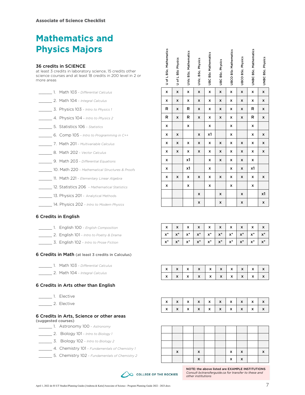## **Mathematics and Physics Majors**

#### 36 credits in SCIENCE

- \_\_\_\_\_ 1. Math 103 *Differential Calculus* \_\_\_\_\_ 2. Math 104 – *Integral Calculus* \_\_\_\_\_ 3. Physics 103 – *Intro to Physics 1* \_\_\_\_\_ 4. Physics 104 – *Intro to Physics 2* \_\_\_\_\_ 5. Statistics 106 – *Statistics*
- \_\_\_\_\_ 6. Comp 105 *Intro to Programming in C++*
- \_\_\_\_\_ 7. Math 201 *Multivariable Calculus*
- \_\_\_\_\_ 8. Math 202 *Vector Calculus*
- \_\_\_\_\_ 9. Math 203 *Differential Equations*
- \_\_\_\_\_ 10. Math 220 *Mathematical Structures & Proofs*
- \_\_\_\_\_ 11. Math 221 *Elementary Linear Algebra*
- \_\_\_\_\_ 12. Statistics 206 *Mathematical Statistics*
- **13. Physics 201 Analytical Methods** 
	- \_\_\_\_\_ 14. Physics 202 *Intro to Modern Physics*

#### 6 Credits in English

|  |  |  |  | 1. English 100 - English Composition |
|--|--|--|--|--------------------------------------|
|--|--|--|--|--------------------------------------|

- \_\_\_\_\_ 2. English 101 *Intro to Poetry & Drama*
- \_\_\_\_\_ 3. English 102 *Intro to Prose Fiction*

#### 6 Credits in Math (at least 3 credits in Calculus)

- \_\_\_\_\_ 1. Math 103 *Differential Calculus*
	- \_\_\_\_\_ 2. Math 104 *Integral Calculus*

#### 6 Credits in Arts other than English

- \_\_\_\_\_ 1. Elective
- \_\_ 2. Elective

#### 6 Credits in Arts, Science or other areas (suggested courses)

- \_\_\_\_\_ 1. Astronomy 100 *Astronomy*
- \_\_\_\_\_ 2. Biology 101 *Intro to Biology 1*
- \_\_\_\_\_ 3. Biology 102 *Intro to Biology 2*
- \_\_\_\_\_ 4. Chemistry 101 *Fundamentals of Chemistry 1*
- \_\_\_\_\_ 5. Chemistry 102 *Fundamentals of Chemistry 2*

| more areas          | <b>Physics Majors</b><br>36 credits in SCIENCE<br>at least 3 credits in laboratory science, 15 credits other<br>science courses and at least 18 credits in 200 level in 2 or      | U of L BSc. Mathematics | of L BSc Physics<br>$\Rightarrow$ | <b>UVic BSc. Mathematics</b> | UVic. BSc. Physics           | <b>UBC BSc Mathematics</b> | UBC BSc. Physics    | <b>UBCO BSc Mathematics</b>                                                                             | UBCO BSc. Physics   | <b>UNBC BSc. Mathematics</b> | <b>UNBC BSc. Physics</b> |
|---------------------|-----------------------------------------------------------------------------------------------------------------------------------------------------------------------------------|-------------------------|-----------------------------------|------------------------------|------------------------------|----------------------------|---------------------|---------------------------------------------------------------------------------------------------------|---------------------|------------------------------|--------------------------|
|                     | 1. Math 103 - Differential Calculus                                                                                                                                               | x                       | X                                 | x                            | x                            | x                          | x                   | x                                                                                                       | X                   | x                            | x                        |
|                     | 2. Math 104 - Integral Calculus                                                                                                                                                   | x                       | X                                 | x                            | x                            | x                          | x                   | x                                                                                                       | X                   | x                            | x                        |
|                     | 3. Physics 103 - Intro to Physics 1                                                                                                                                               | R                       | X                                 | R                            | x                            | x                          | x                   | x                                                                                                       | X                   | R                            | x                        |
|                     | 4. Physics 104 - Intro to Physics 2                                                                                                                                               | R                       | X                                 | R                            | x                            | x                          | x                   | x                                                                                                       | X                   | R                            | x                        |
|                     | 5. Statistics 106 - Statistics                                                                                                                                                    | x                       |                                   | x                            |                              | x                          |                     | x                                                                                                       |                     | x                            |                          |
|                     | 6. Comp $105$ - Intro to Programming in $C++$                                                                                                                                     | x                       | X                                 |                              | x                            | x1                         |                     | x                                                                                                       |                     | x                            | x                        |
|                     | 7. Math 201 - Multivariable Calculus                                                                                                                                              | x                       | x                                 | x                            | x                            | x                          | x                   | x                                                                                                       | X                   | x                            | x                        |
|                     | 8. Math 202 - Vector Calculus                                                                                                                                                     | x                       | X                                 | x                            | x                            | x                          | x                   | x                                                                                                       | X                   | x                            | x                        |
|                     | 9. Math 203 - Differential Equations                                                                                                                                              | x                       |                                   | x1                           |                              | x                          | x                   | x                                                                                                       | x                   | x                            |                          |
|                     | 10. Math 220 - Mathematical Structures & Proofs                                                                                                                                   | x                       |                                   | x1                           |                              | x                          |                     | x                                                                                                       | X                   | x1                           |                          |
|                     | 11. Math 221 - Elementary Linear Algebra                                                                                                                                          | x                       | x                                 | x                            | x                            | x                          | x                   | x                                                                                                       | x                   | x                            | x                        |
|                     | 12. Statistics 206 - Mathematical Statistics                                                                                                                                      | x                       |                                   | x                            |                              | x                          |                     | x                                                                                                       |                     | x                            |                          |
|                     | 13. Physics 201 - Analytical Methods                                                                                                                                              |                         |                                   |                              | x                            |                            | x                   |                                                                                                         | X                   |                              | x1                       |
|                     | 14. Physics 202 - Intro to Modern Physics                                                                                                                                         |                         |                                   |                              | x                            |                            | x                   |                                                                                                         | X                   |                              | x                        |
|                     | 1. English 100 - English Composition<br>2. English 101 - Intro to Poetry & Drama<br>3. English 102 - Intro to Prose Fiction<br>6 Credits in Math (at least 3 credits in Calculus) | x<br>$x^*$<br>$x^*$     | x<br>$x^*$<br>$x^*$               | x<br>x*<br>$\mathsf{x}^*$    | x<br>$\mathsf{x}^*$<br>$x^*$ | x<br>$x^*$<br>$x^*$        | x<br>$x^*$<br>$x^*$ | x<br>$x^*$<br>$x^*$                                                                                     | x<br>$x^*$<br>$x^*$ | x<br>$x^*$<br>$x^*$          | x<br>$x^*$<br>$x^*$      |
|                     |                                                                                                                                                                                   |                         |                                   |                              |                              |                            |                     |                                                                                                         |                     |                              |                          |
|                     | 1. Math 103 - Differential Calculus<br>2. Math 104 - Integral Calculus                                                                                                            | x                       | X                                 | x                            | X                            | x                          | X                   | x                                                                                                       | x                   | x                            | x                        |
|                     |                                                                                                                                                                                   | x                       | x                                 | x                            | x                            | x                          | X                   | x                                                                                                       | X                   | x                            | x                        |
|                     | 6 Credits in Arts other than English                                                                                                                                              |                         |                                   |                              |                              |                            |                     |                                                                                                         |                     |                              |                          |
| 1. Elective         |                                                                                                                                                                                   |                         |                                   |                              |                              |                            |                     |                                                                                                         |                     |                              |                          |
| 2. Elective         |                                                                                                                                                                                   | x                       | x                                 | x                            | x                            | x                          | X                   | x                                                                                                       | x                   | x                            | x                        |
|                     | 6 Credits in Arts, Science or other areas                                                                                                                                         | x                       | X                                 | x                            | x                            | x                          | x                   | x                                                                                                       | x                   | x                            | x                        |
| (suggested courses) |                                                                                                                                                                                   |                         |                                   |                              |                              |                            |                     |                                                                                                         |                     |                              |                          |
|                     | 1. Astronomy 100 - Astronomy<br>2. Biology 101 - Intro to Biology 1                                                                                                               |                         |                                   |                              |                              |                            |                     |                                                                                                         |                     |                              |                          |
|                     | 3. Biology 102 - Intro to Biology 2                                                                                                                                               |                         |                                   |                              |                              |                            |                     |                                                                                                         |                     |                              |                          |
|                     | 4. Chemistry 101 - Fundamentals of Chemistry 1                                                                                                                                    |                         |                                   |                              |                              |                            |                     |                                                                                                         |                     |                              |                          |
|                     | 5. Chemistry 102 - Fundamentals of Chemistry 2                                                                                                                                    |                         | X                                 |                              | x                            |                            |                     | x                                                                                                       | x                   |                              | x                        |
|                     |                                                                                                                                                                                   |                         |                                   |                              | x                            |                            |                     | x                                                                                                       | x                   |                              |                          |
|                     | <b>COLLEGE OF THE ROCKIES</b>                                                                                                                                                     |                         |                                   |                              | other institutions           |                            |                     | NOTE: the above listed are EXAMPLE INSTITUTIONS<br>Consult betransferguide.ca for transfer to these and |                     |                              |                          |

|  | $x \mid x \mid x \mid x \mid x \mid x \mid x \mid x \mid x$ |  |  |  |  |
|--|-------------------------------------------------------------|--|--|--|--|
|  |                                                             |  |  |  |  |
|  |                                                             |  |  |  |  |

|  | x   x   x   x   x   x   x   x   x |  |  |  |
|--|-----------------------------------|--|--|--|
|  | x   x   x   x   x   x   x   x   x |  |  |  |

| X | x |  | x | х |  |
|---|---|--|---|---|--|
|   | x |  | x | x |  |

![](_page_6_Picture_35.jpeg)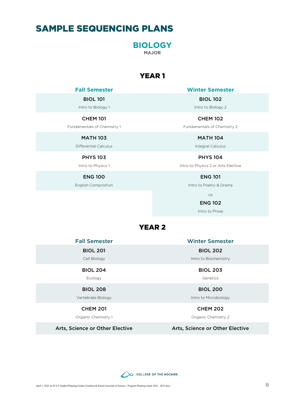## <span id="page-7-1"></span><span id="page-7-0"></span>SAMPLE SEQUENCING PLANS

**BIOLOGY MAJOR**

### YEAR 1

#### BIOL 101

Intro to Biology 1

#### CHEM 101

Fundamentals of Chemistry 1

MATH 103

Differential Calculus

PHYS 103

Intro to Physics 1

ENG 100

English Composition

**Fall Semester Winter Semester**

BIOL 102 Intro to Biology 2

CHEM 102 Fundamentals of Chemistry 2

> MATH 104 Integral Calculus

PHYS 104 Intro to Physics 2 or Arts Elective

ENG 101

Intro to Poetry & Drama

OR

ENG 102 Intro to Prose

### YEAR 2

BIOL 201

Cell Biology

#### BIOL 204

Ecology

#### BIOL 208

Vertebrate Biology

#### CHEM 201

Organic Chemistry 1

Fall Semester Winter Semester BIOL 202

Intro to Biochemistry

BIOL 203 Genetics

BIOL 200 Intro to Microbiology

CHEM 202

Organic Chemistry 2

Arts, Science or Other Elective Arts, Science or Other Elective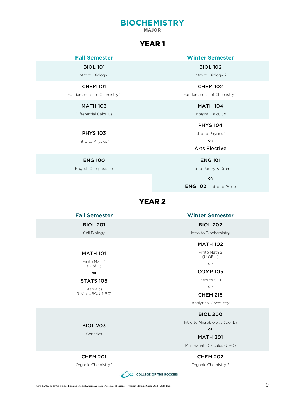## **BIOCHEMISTRY MAJOR**

### YEAR 1

BIOL 101

Intro to Biology 1

#### CHEM 101

Fundamentals of Chemistry 1

#### MATH 103

Differential Calculus

PHYS 103

Intro to Physics 1

#### ENG 100

English Composition

#### <span id="page-8-0"></span>**Fall Semester Winter Semester**

BIOL 102

Intro to Biology 2

CHEM 102 Fundamentals of Chemistry 2

> MATH 104 Integral Calculus

> PHYS 104 Intro to Physics 2

> > OR

#### Arts Elective

ENG 101

Intro to Poetry & Drama

OR

ENG 102 – Intro to Prose

#### YEAR 2

BIOL 201

Cell Biology

#### MATH 101

Finite Math 1 (U of L)

#### OR

#### STATS 106

**Statistics** (UVic, UBC, UNBC)

#### Fall Semester Winter Semester

BIOL 202

Intro to Biochemistry

MATH 102

Finite Math 2 (U OF L)

OR

#### COMP 105

Intro to C++

OR CHEM 215

Analytical Chemistry

BIOL 200

Intro to Microbiology (Uof L)

OR

MATH 201 Multivariate Calculus (UBC)

CHEM 202

Organic Chemistry 2

BIOL 203

**Genetics** 

#### CHEM 201

Organic Chemistry 1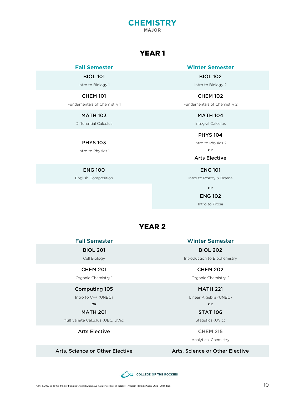#### **CHEMISTRY MAJOR**

### YEAR 1

BIOL 101

Intro to Biology 1

#### CHEM 101

Fundamentals of Chemistry 1

#### MATH 103

Differential Calculus

#### PHYS 103

Intro to Physics 1

#### ENG 100

English Composition

#### <span id="page-9-0"></span>**Fall Semester Winter Semester**

BIOL 102 Intro to Biology 2

CHEM 102 Fundamentals of Chemistry 2

> MATH 104 Integral Calculus

PHYS 104 Intro to Physics 2

OR

#### Arts Elective

ENG 101

Intro to Poetry & Drama

OR

#### ENG 102

Intro to Prose

### YEAR 2

Fall Semester Winter Semester

#### BIOL 201

Cell Biology

#### CHEM 201

Organic Chemistry 1

#### Computing 105

Intro to C++ (UNBC) OR

#### MATH 201

Multivariate Calculus (UBC, UVic)

#### Arts Elective **CHEM 215**

BIOL 202 Introduction to Biochemistry

### CHEM 202

Organic Chemistry 2

#### MATH 221

Linear Algebra (UNBC)

OR

### STAT 106

Statistics (UVic)

Analytical Chemistry

#### Arts, Science or Other Elective Arts, Science or Other Elective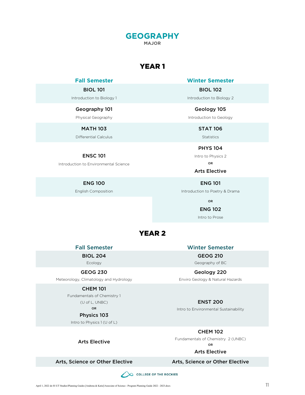## **GEOGRAPHY MAJOR**

### YEAR 1

#### BIOL 101

Introduction to Biology 1

#### Geography 101

Physical Geography

MATH 103

Differential Calculus

#### ENSC 101

Introduction to Environmental Science

ENG 100

English Composition

<span id="page-10-0"></span>**Fall Semester Winter Semester**

BIOL 102 Introduction to Biology 2

Geology 105 Introduction to Geology

> STAT 106 Statistics

PHYS 104 Intro to Physics 2 OR

Arts Elective

ENG 101 Introduction to Poetry & Drama

OR

ENG 102

Intro to Prose

### YEAR 2

BIOL 204

Ecology

#### GEOG 230

Meteorology, Climatology and Hydrology

#### CHEM 101

Fundamentals of Chemistry 1 (U of L, UNBC)

OR

#### Physics 103

Intro to Physics 1 (U of L)

Arts Elective

Fall Semester Winter Semester

### GEOG 210

Geography of BC

Geology 220 Enviro Geology & Natural Hazards

#### ENST 200

Intro to Environmental Sustainability

CHEM 102

Fundamentals of Chemistry 2 (UNBC) OR

#### Arts Elective

#### Arts, Science or Other Elective Arts, Science or Other Elective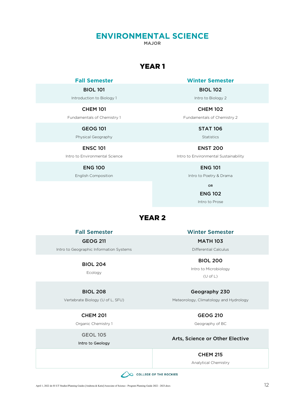### <span id="page-11-0"></span>**ENVIRONMENTAL SCIENCE**

**MAJOR**

### YEAR 1

#### BIOL 101

Introduction to Biology 1

#### CHEM 101

Fundamentals of Chemistry 1

GEOG 101

Physical Geography

#### ENSC 101

Intro to Environmental Science

#### ENG 100

English Composition

#### **Fall Semester Winter Semester**

BIOL 102

Intro to Biology 2

CHEM 102

Fundamentals of Chemistry 2

STAT 106 Statistics

ENST 200 Intro to Environmental Sustainability

ENG 101

Intro to Poetry & Drama

OR

#### ENG 102

Intro to Prose

#### YEAR 2

#### GEOG 211

Intro to Geographic Information Systems

#### BIOL 204

Ecology

#### BIOL 208

Vertebrate Biology (U of L, SFU)

CHEM 201

Organic Chemistry 1

GEOL 105

#### Intro to Geology

Fall Semester Winter Semester

MATH 103 Differential Calculus

BIOL 200 Intro to Microbiology (U of L)

Geography 230 Meteorology, Climatology and Hydrology

GEOG 210

Geography of BC

#### Arts, Science or Other Elective

#### CHEM 215

Analytical Chemistry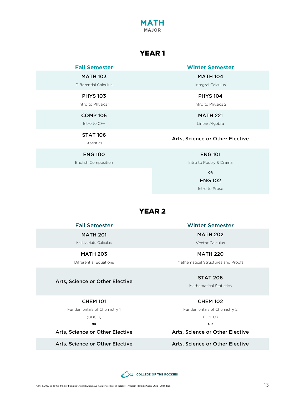### YEAR 1

**MATH MAJOR**

MATH 103

Differential Calculus

#### PHYS 103

Intro to Physics 1

COMP 105

Intro to C++

STAT 106

Statistics

#### ENG 100

English Composition

#### <span id="page-12-0"></span>**Fall Semester Winter Semester**

MATH 104

Integral Calculus

PHYS 104 Intro to Physics 2

MATH 221

Linear Algebra

#### Arts, Science or Other Elective

ENG 101

Intro to Poetry & Drama

OR

ENG 102

Intro to Prose

#### YEAR 2

MATH 201

Multivariate Calculus

#### MATH 203

Differential Equations

#### Arts, Science or Other Elective

#### CHEM 101

Fundamentals of Chemistry 1

(UBCO) OR

Arts, Science or Other Elective

Fall Semester Winter Semester

MATH 202 Vector Calculus

MATH 220 Mathematical Structures and Proofs

#### STAT 206

Mathematical Statistics

#### CHEM 102

Fundamentals of Chemistry 2 (UBCO)

OR

Arts, Science or Other Elective

#### Arts, Science or Other Elective Arts, Science or Other Elective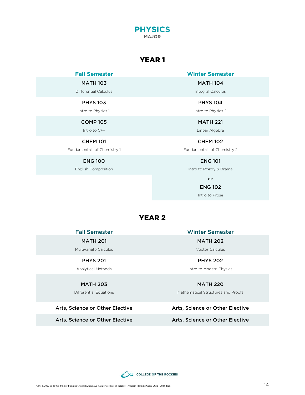![](_page_13_Picture_0.jpeg)

### YEAR 1

MATH 103

Differential Calculus

#### PHYS 103

Intro to Physics 1

COMP 105

Intro to C++

#### CHEM 101

Fundamentals of Chemistry 1

#### ENG 100

English Composition

<span id="page-13-0"></span>**Fall Semester Winter Semester**

MATH 104

Integral Calculus

PHYS 104

Intro to Physics 2

MATH 221 Linear Algebra

CHEM 102 Fundamentals of Chemistry 2

ENG 101

Intro to Poetry & Drama

OR

#### ENG 102

Intro to Prose

#### YEAR 2

MATH 201

Multivariate Calculus

#### PHYS 201

Analytical Methods

#### MATH 203

Differential Equations

#### Arts, Science or Other Elective Arts, Science or Other Elective

Arts, Science or Other Elective Arts, Science or Other Elective

Fall Semester Winter Semester

MATH 202 Vector Calculus

PHYS 202 Intro to Modern Physics

#### MATH 220

Mathematical Structures and Proofs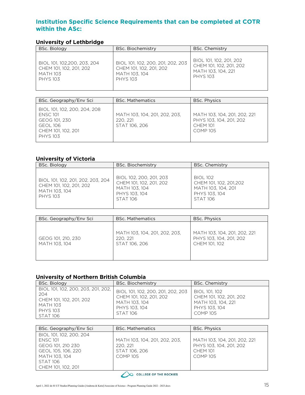### <span id="page-14-0"></span>**Institution Specific Science Requirements that can be completed at COTR within the ASc:**

#### <span id="page-14-1"></span>**University of Lethbridge**

| BSc. Biology                | BSc. Biochemistry                 | <b>BSc. Chemistry</b>   |
|-----------------------------|-----------------------------------|-------------------------|
| BIOL 101, 102,200, 203, 204 | BIOL 101, 102, 200, 201, 202, 203 | BIOL 101, 102, 201, 202 |
| CHEM 101, 102, 201, 202     | CHEM 101, 102, 201, 202           | CHEM 101, 102, 201, 202 |
| <b>MATH 103</b>             | MATH 103, 104                     | MATH 103, 104, 221      |
| <b>PHYS 103</b>             | <b>PHYS 103</b>                   | <b>PHYS 103</b>         |

| BSc. Geography/Env Sci                                                                                                       | <b>BSc. Mathematics</b>                                    | <b>BSc. Physics</b>                                                                    |  |  |
|------------------------------------------------------------------------------------------------------------------------------|------------------------------------------------------------|----------------------------------------------------------------------------------------|--|--|
| BIOL 101, 102, 200, 204, 208<br><b>ENSC 101</b><br>GEOG 101, 230<br><b>GEOL 106</b><br>CHEM 101, 102, 201<br><b>PHYS 103</b> | MATH 103, 104, 201, 202, 203,<br>220, 221<br>STAT 106, 206 | MATH 103, 104, 201, 202, 221<br>PHYS 103, 104, 201, 202<br><b>CHEM 101</b><br>COMP 105 |  |  |

#### <span id="page-14-2"></span>**University of Victoria**

| BSc. Biology                                                                                     | <b>BSc. Biochemistry</b>                                                                                | <b>BSc. Chemistry</b>                                                                               |
|--------------------------------------------------------------------------------------------------|---------------------------------------------------------------------------------------------------------|-----------------------------------------------------------------------------------------------------|
| BIOL 101, 102, 201, 202, 203, 204<br>CHEM 101, 102, 201, 202<br>MATH 103, 104<br><b>PHYS 103</b> | BIOL 102, 200, 201, 203<br>CHEM 101, 102, 201, 202<br>MATH 103, 104<br>PHYS 103, 104<br><b>STAT 106</b> | <b>BIOL 102</b><br>CHEM 101, 102, 201,202<br>MATH 103, 104, 201<br>PHYS 103, 104<br><b>STAT 106</b> |

| BSc. Geography/Env Sci              | <b>BSc. Mathematics</b>                                    | <b>BSc. Physics</b>                                                      |
|-------------------------------------|------------------------------------------------------------|--------------------------------------------------------------------------|
| GEOG 101, 210, 230<br>MATH 103, 104 | MATH 103, 104, 201, 202, 203,<br>220, 221<br>STAT 106, 206 | MATH 103, 104, 201, 202, 221<br>PHYS 103, 104, 201, 202<br>CHEM 101, 102 |

#### <span id="page-14-3"></span>**University of Northern British Columbia**

| <b>BSc. Biology</b>                                                                                                           | BSc. Biochemistry                                                                                                 | <b>BSc. Chemistry</b>                                                                              |
|-------------------------------------------------------------------------------------------------------------------------------|-------------------------------------------------------------------------------------------------------------------|----------------------------------------------------------------------------------------------------|
| BIOL 101, 102, 200, 203, 201, 202,<br>204<br>CHEM 101, 102, 201, 202<br><b>MATH 103</b><br><b>PHYS 103</b><br><b>STAT 106</b> | BIOL 101, 102, 200, 201, 202, 203<br>CHEM 101, 102, 201, 202<br>MATH 103, 104<br>PHYS 103, 104<br><b>STAT 106</b> | BIOL 101, 102<br>CHEM 101, 102, 201, 202<br>MATH 103, 104, 221<br>PHYS 103, 104<br><b>COMP 105</b> |

| BSc. Geography/Env Sci        | <b>BSc. Mathematics</b>       | <b>BSc. Physics</b>          |
|-------------------------------|-------------------------------|------------------------------|
| BIOL 101, 102, 200, 204       |                               |                              |
| <b>ENSC 101</b>               | MATH 103, 104, 201, 202, 203, | MATH 103, 104, 201, 202, 221 |
| GEOG 101, 210 230             | 220, 221                      | PHYS 103, 104, 201, 202      |
| GEOL 105, 106, 220            | STAT 106, 206                 | <b>CHEM 101</b>              |
| MATH 103, 104                 | <b>COMP 105</b>               | COMP 105                     |
| <b>STAT 106</b>               |                               |                              |
| CHEM 101, 102, 201            |                               |                              |
| <b>COLLEGE OF THE ROCKIES</b> |                               |                              |

![](_page_14_Picture_10.jpeg)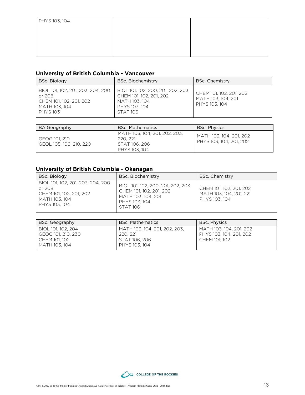| PHYS 103, 104 |  |
|---------------|--|
|               |  |
|               |  |
|               |  |
|               |  |

#### <span id="page-15-0"></span>**University of British Columbia - Vancouver**

| BSc. Biology                                                                                               | BSc. Biochemistry                                                                                                 | <b>BSc. Chemistry</b>                                          |
|------------------------------------------------------------------------------------------------------------|-------------------------------------------------------------------------------------------------------------------|----------------------------------------------------------------|
| BIOL 101, 102, 201, 203, 204, 200<br>or 208<br>CHEM 101, 102, 201, 202<br>MATH 103, 104<br><b>PHYS 103</b> | BIOL 101, 102, 200, 201, 202, 203<br>CHEM 101, 102, 201, 202<br>MATH 103, 104<br>PHYS 103, 104<br><b>STAT 106</b> | CHEM 101, 102, 201, 202<br>MATH 103, 104, 201<br>PHYS 103, 104 |

| BA Geography                             | <b>BSc. Mathematics</b>                                                     | <b>BSc. Physics</b>                                |
|------------------------------------------|-----------------------------------------------------------------------------|----------------------------------------------------|
| GEOG 101. 210<br>GEOL 105, 106, 210, 220 | MATH 103, 104, 201, 202, 203,<br>220, 221<br>STAT 106, 206<br>PHYS 103, 104 | MATH 103, 104, 201, 202<br>PHYS 103, 104, 201, 202 |

### <span id="page-15-1"></span>**University of British Columbia - Okanagan**

| BSc. Biology                                                                                             | BSc. Biochemistry                                                                                                      | <b>BSc. Chemistry</b>                                               |
|----------------------------------------------------------------------------------------------------------|------------------------------------------------------------------------------------------------------------------------|---------------------------------------------------------------------|
| BIOL 101, 102, 201, 203, 204, 200<br>or 208<br>CHEM 101, 102, 201, 202<br>MATH 103, 104<br>PHYS 103, 104 | BIOL 101, 102, 200, 201, 202, 203<br>CHEM 101, 102, 201, 202<br>MATH 103, 104, 201<br>PHYS 103, 104<br><b>STAT 106</b> | CHEM 101, 102, 201, 202<br>MATH 103, 104, 201, 221<br>PHYS 103, 104 |

| BSc. Geography                                                             | <b>BSc. Mathematics</b>                                                     | <b>BSc. Physics</b>                                                 |
|----------------------------------------------------------------------------|-----------------------------------------------------------------------------|---------------------------------------------------------------------|
| BIOL 101, 102, 204<br>GEOG 101, 210, 230<br>CHEM 101, 102<br>MATH 103, 104 | MATH 103, 104, 201, 202, 203,<br>220, 221<br>STAT 106, 206<br>PHYS 103, 104 | MATH 103, 104, 201, 202<br>PHYS 103, 104, 201, 202<br>CHEM 101, 102 |

![](_page_15_Picture_7.jpeg)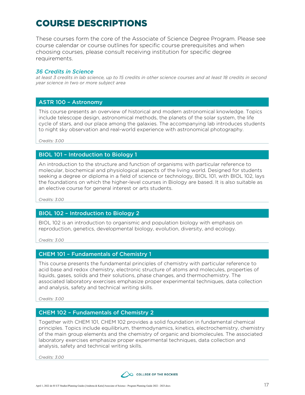## <span id="page-16-0"></span>COURSE DESCRIPTIONS

These courses form the core of the Associate of Science Degree Program. Please see course calendar or course outlines for specific course prerequisites and when choosing courses, please consult receiving institution for specific degree requirements.

#### *36 Credits in Science*

*at least 3 credits in lab science, up to 15 credits in other science courses and at least 18 credits in second year science in two or more subject area*

#### ASTR 100 – Astronomy

This course presents an overview of historical and modern astronomical knowledge. Topics include telescope design, astronomical methods, the planets of the solar system, the life cycle of stars, and our place among the galaxies. The accompanying lab introduces students to night sky observation and real-world experience with astronomical photography.

*Credits: 3.00*

#### BIOL 101 – Introduction to Biology 1

An introduction to the structure and function of organisms with particular reference to molecular, biochemical and physiological aspects of the living world. Designed for students seeking a degree or diploma in a field of science or technology, BIOL 101, with BIOL 102, lays the foundations on which the higher-level courses in Biology are based. It is also suitable as an elective course for general interest or arts students.

*Credits: 3.00*

#### BIOL 102 – Introduction to Biology 2

BIOL 102 is an introduction to organismic and population biology with emphasis on reproduction, genetics, developmental biology, evolution, diversity, and ecology.

*Credits: 3.00*

#### CHEM 101 – Fundamentals of Chemistry 1

This course presents the fundamental principles of chemistry with particular reference to acid base and redox chemistry, electronic structure of atoms and molecules, properties of liquids, gases, solids and their solutions, phase changes, and thermochemistry. The associated laboratory exercises emphasize proper experimental techniques, data collection and analysis, safety and technical writing skills.

*Credits: 3.00*

#### CHEM 102 – Fundamentals of Chemistry 2

Together with CHEM 101, CHEM 102 provides a solid foundation in fundamental chemical principles. Topics include equilibrium, thermodynamics, kinetics, electrochemistry, chemistry of the main group elements and the chemistry of organic and biomolecules. The associated laboratory exercises emphasize proper experimental techniques, data collection and analysis, safety and technical writing skills.

![](_page_16_Picture_19.jpeg)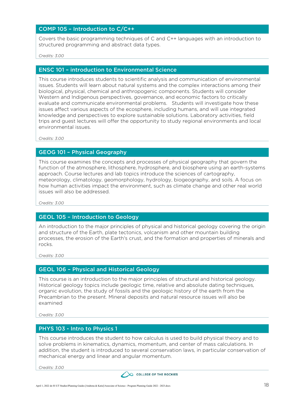#### COMP 105 – Introduction to C/C++

Covers the basic programming techniques of C and C++ languages with an introduction to structured programming and abstract data types.

*Credits: 3.00*

#### ENSC 101 – introduction to Environmental Science

This course introduces students to scientific analysis and communication of environmental issues. Students will learn about natural systems and the complex interactions among their biological, physical, chemical and anthropogenic components. Students will consider Western and Indigenous perspectives, governance, and economic factors to critically evaluate and communicate environmental problems. Students will investigate how these issues affect various aspects of the ecosphere, including humans, and will use integrated knowledge and perspectives to explore sustainable solutions. Laboratory activities, field trips and guest lectures will offer the opportunity to study regional environments and local environmental issues.

*Credits: 3.00*

#### GEOG 101 – Physical Geography

This course examines the concepts and processes of physical geography that govern the function of the atmosphere, lithosphere, hydrosphere, and biosphere using an earth-systems approach. Course lectures and lab topics introduce the sciences of cartography, meteorology, climatology, geomorphology, hydrology, biogeography, and soils. A focus on how human activities impact the environment, such as climate change and other real world issues will also be addressed.

*Credits: 3.00*

#### GEOL 105 – Introduction to Geology

An introduction to the major principles of physical and historical geology covering the origin and structure of the Earth, plate tectonics, volcanism and other mountain building processes, the erosion of the Earth's crust, and the formation and properties of minerals and rocks.

*Credits: 3.00*

#### GEOL 106 – Physical and Historical Geology

This course is an introduction to the major principles of structural and historical geology. Historical geology topics include geologic time, relative and absolute dating techniques, organic evolution, the study of fossils and the geologic history of the earth from the Precambrian to the present. Mineral deposits and natural resource issues will also be examined

*Credits: 3.00*

#### PHYS 103 - Intro to Physics 1

This course introduces the student to how calculus is used to build physical theory and to solve problems in kinematics, dynamics, momentum, and center of mass calculations. In addition, the student is introduced to several conservation laws, in particular conservation of mechanical energy and linear and angular momentum.

![](_page_17_Picture_18.jpeg)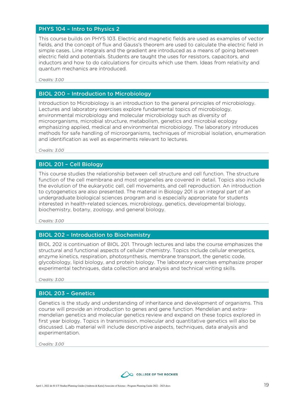#### PHYS 104 – Intro to Physics 2

This course builds on PHYS 103. Electric and magnetic fields are used as examples of vector fields, and the concept of flux and Gauss's theorem are used to calculate the electric field in simple cases. Line integrals and the gradient are introduced as a means of going between electric field and potentials. Students are taught the uses for resistors, capacitors, and inductors and how to do calculations for circuits which use them. Ideas from relativity and quantum mechanics are introduced.

*Credits: 3.00*

#### BIOL 200 – Introduction to Microbiology

Introduction to Microbiology is an introduction to the general principles of microbiology. Lectures and laboratory exercises explore fundamental topics of microbiology, environmental microbiology and molecular microbiology such as diversity of microorganisms, microbial structure, metabolism, genetics and microbial ecology emphasizing applied, medical and environmental microbiology. The laboratory introduces methods for safe handling of microorganisms, techniques of microbial isolation, enumeration and identification as well as experiments relevant to lectures.

*Credits: 3.00*

#### BIOL 201 – Cell Biology

This course studies the relationship between cell structure and cell function. The structure function of the cell membrane and most organelles are covered in detail. Topics also include the evolution of the eukaryotic cell, cell movements, and cell reproduction. An introduction to cytogenetics are also presented. The material in Biology 201 is an integral part of an undergraduate biological sciences program and is especially appropriate for students interested in health-related sciences, microbiology, genetics, developmental biology, biochemistry, botany, zoology, and general biology.

*Credits: 3.00*

#### BIOL 202 – Introduction to Biochemistry

BIOL 202 is continuation of BIOL 201. Through lectures and labs the course emphasizes the structural and functional aspects of cellular chemistry. Topics include cellular energetics, enzyme kinetics, respiration, photosynthesis, membrane transport, the genetic code, glycobiology, lipid biology, and protein biology. The laboratory exercises emphasize proper experimental techniques, data collection and analysis and technical writing skills.

*Credits: 3.00*

#### BIOL 203 – Genetics

Genetics is the study and understanding of inheritance and development of organisms. This course will provide an introduction to genes and gene function. Mendelian and extramendelian genetics and molecular genetics review and expand on these topics explored in first year biology. Topics in transmission, molecular and quantitative genetics will also be discussed. Lab material will include descriptive aspects, techniques, data analysis and experimentation.

![](_page_18_Picture_15.jpeg)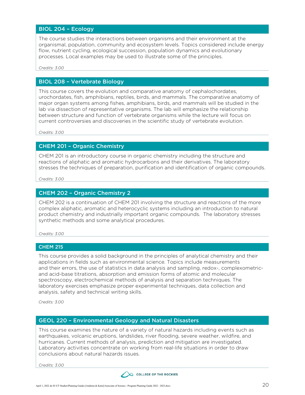#### BIOL 204 – Ecology

The course studies the interactions between organisms and their environment at the organismal, population, community and ecosystem levels. Topics considered include energy flow, nutrient cycling, ecological succession, population dynamics and evolutionary processes. Local examples may be used to illustrate some of the principles.

*Credits: 3.00*

#### BIOL 208 – Vertebrate Biology

This course covers the evolution and comparative anatomy of cephalochordates, urochordates, fish, amphibians, reptiles, birds, and mammals. The comparative anatomy of major organ systems among fishes, amphibians, birds, and mammals will be studied in the lab via dissection of representative organisms. The lab will emphasize the relationship between structure and function of vertebrate organisms while the lecture will focus on current controversies and discoveries in the scientific study of vertebrate evolution.

*Credits: 3.00*

#### CHEM 201 – Organic Chemistry

CHEM 201 is an introductory course in organic chemistry including the structure and reactions of aliphatic and aromatic hydrocarbons and their derivatives. The laboratory stresses the techniques of preparation, purification and identification of organic compounds.

*Credits: 3.00*

#### CHEM 202 – Organic Chemistry 2

CHEM 202 is a continuation of CHEM 201 involving the structure and reactions of the more complex aliphatic, aromatic and heterocyclic systems including an introduction to natural product chemistry and industrially important organic compounds. The laboratory stresses synthetic methods and some analytical procedures.

*Credits: 3.00*

#### CHEM 215

This course provides a solid background in the principles of analytical chemistry and their applications in fields such as environmental science. Topics include measurements and their errors, the use of statistics in data analysis and sampling, redox-, complexometricand acid-base titrations, absorption and emission forms of atomic and molecular spectroscopy, electrochemical methods of analysis and separation techniques. The laboratory exercises emphasize proper experimental techniques, data collection and analysis, safety and technical writing skills.

*Credits: 3.00*

#### GEOL 220 – Environmental Geology and Natural Disasters

This course examines the nature of a variety of natural hazards including events such as earthquakes, volcanic eruptions, landslides, river flooding, severe weather, wildfire, and hurricanes. Current methods of analysis, prediction and mitigation are investigated. Laboratory activities concentrate on working from real-life situations in order to draw conclusions about natural hazards issues.

![](_page_19_Picture_18.jpeg)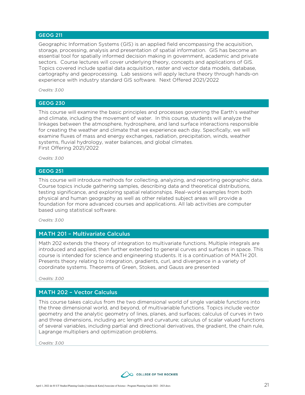#### GEOG 211

Geographic Information Systems (GIS) is an applied field encompassing the acquisition, storage, processing, analysis and presentation of spatial information. GIS has become an essential tool for spatially informed decision making in government, academic and private sectors. Course lectures will cover underlying theory, concepts and applications of GIS. Topics covered include spatial data acquisition, raster and vector data models, database, cartography and geoprocessing. Lab sessions will apply lecture theory through hands-on experience with industry standard GIS software. Next Offered 2021/2022

*Credits: 3.00*

#### GEOG 230

This course will examine the basic principles and processes governing the Earth's weather and climate, including the movement of water. In this course, students will analyze the linkages between the atmosphere, hydrosphere, and land surface interactions responsible for creating the weather and climate that we experience each day. Specifically, we will examine fluxes of mass and energy exchanges, radiation, precipitation, winds, weather systems, fluvial hydrology, water balances, and global climates. First Offering 2021/2022

*Credits: 3.00*

#### GEOG 251

This course will introduce methods for collecting, analyzing, and reporting geographic data. Course topics include gathering samples, describing data and theoretical distributions, testing significance, and exploring spatial relationships. Real-world examples from both physical and human geography as well as other related subject areas will provide a foundation for more advanced courses and applications. All lab activities are computer based using statistical software.

*Credits: 3.00*

#### MATH 201 – Multivariate Calculus

Math 202 extends the theory of integration to multivariate functions. Multiple integrals are introduced and applied, then further extended to general curves and surfaces in space. This course is intended for science and engineering students. It is a continuation of MATH 201. Presents theory relating to integration, gradients, curl, and divergence in a variety of coordinate systems. Theorems of Green, Stokes, and Gauss are presented

*Credits: 3.00*

#### MATH 202 – Vector Calculus

This course takes calculus from the two dimensional world of single variable functions into the three dimensional world, and beyond, of multivariable functions. Topics include vector geometry and the analytic geometry of lines, planes, and surfaces; calculus of curves in two and three dimensions, including arc length and curvature; calculus of scalar valued functions of several variables, including partial and directional derivatives, the gradient, the chain rule, Lagrange multipliers and optimization problems.

![](_page_20_Picture_15.jpeg)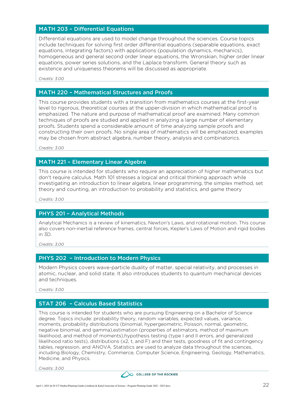#### MATH 203 – Differential Equations

Differential equations are used to model change throughout the sciences. Course topics include techniques for solving first order differential equations (separable equations, exact equations, integrating factors) with applications (population dynamics, mechanics), homogeneous and general second order linear equations, the Wronskian, higher order linear equations, power series solutions, and the Laplace transform. General theory such as existence and uniqueness theorems will be discussed as appropriate.

*Credits: 3.00*

#### MATH 220 – Mathematical Structures and Proofs

This course provides students with a transition from mathematics courses at the first-year level to rigorous, theoretical courses at the upper-division in which mathematical proof is emphasized. The nature and purpose of mathematical proof are examined. Many common techniques of proofs are studied and applied in analyzing a large number of elementary proofs. Students spend a considerable amount of time analyzing sample proofs and constructing their own proofs. No single area of mathematics will be emphasized; examples may be chosen from abstract algebra, number theory, analysis and combinatorics.

*Credits: 3.00*

#### MATH 221 – Elementary Linear Algebra

This course is intended for students who require an appreciation of higher mathematics but don't require calculus. Math 101 stresses a logical and critical thinking approach while investigating an introduction to linear algebra, linear programming, the simplex method, set theory and counting, an introduction to probability and statistics, and game theory

*Credits: 3.00*

#### PHYS 201 – Analytical Methods

Analytical Mechanics is a review of kinematics, Newton's Laws, and rotational motion. This course also covers non-inertial reference frames, central forces, Kepler's Laws of Motion and rigid bodies in 3D.

*Credits: 3.00*

#### PHYS 202 – Introduction to Modern Physics

Modern Physics covers wave-particle duality of matter, special relativity, and processes in atomic, nuclear, and solid state. It also introduces students to quantum mechanical devices and techniques.

*Credits: 3.00*

#### STAT 206 – Calculus Based Statistics

This course is intended for students who are pursuing Engineering on a Bachelor of Science degree. Topics include: probability theory, random variables, expected values, variance, moments, probability distributions (binomial, hypergeometric, Poisson, normal, geometric, negative binomial, and gamma),estimation (properties of estimators, method of maximum likelihood, and method of moments),hypothesis testing (type I and II errors, and generalized likelihood ratio tests), distributions (x2, t, and F) and their tests, goodness of fit and contingency tables, regression, and ANOVA. Statistics are used to analyze data throughout the sciences, including Biology, Chemistry, Commerce, Computer Science, Engineering, Geology, Mathematics, Medicine, and Physics.

![](_page_21_Picture_18.jpeg)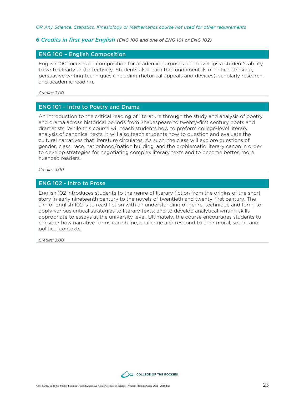*OR Any Science, Statistics, Kinesiology or Mathematics course not used for other requirements*

#### *6 Credits in first year English (ENG 100 and one of ENG 101 or ENG 102)*

#### ENG 100 – English Composition

English 100 focuses on composition for academic purposes and develops a student's ability to write clearly and effectively. Students also learn the fundamentals of critical thinking, persuasive writing techniques (including rhetorical appeals and devices), scholarly research, and academic reading.

*Credits: 3.00*

#### ENG 101 – Intro to Poetry and Drama

An introduction to the critical reading of literature through the study and analysis of poetry and drama across historical periods from Shakespeare to twenty-first century poets and dramatists. While this course will teach students how to preform college-level literary analysis of canonical texts, it will also teach students how to question and evaluate the cultural narratives that literature circulates. As such, the class will explore questions of gender, class, race, nationhood/nation building, and the problematic literary canon in order to develop strategies for negotiating complex literary texts and to become better, more nuanced readers.

*Credits: 3.00*

#### ENG 102 - Intro to Prose

English 102 introduces students to the genre of literary fiction from the origins of the short story in early nineteenth century to the novels of twentieth and twenty-first century. The aim of English 102 is to read fiction with an understanding of genre, technique and form; to apply various critical strategies to literary texts; and to develop analytical writing skills appropriate to essays at the university level. Ultimately, the course encourages students to consider how narrative forms can shape, challenge and respond to their moral, social, and political contexts.

![](_page_22_Picture_11.jpeg)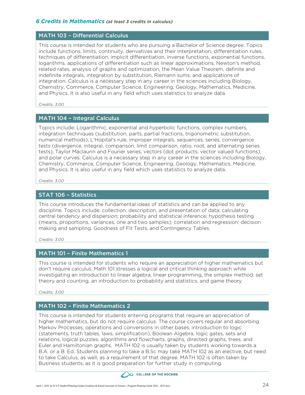#### *6 Credits in Mathematics (at least 3 credits in calculus)*

#### MATH 103 – Differential Calculus

This course is intended for students who are pursuing a Bachelor of Science degree. Topics include functions, limits, continuity, derivatives and their interpretation, differentiation rules, techniques of differentiation, implicit differentiation, inverse functions, exponential functions, logarithms, applications of differentiation such as linear approximations, Newton's method, related rates, analysis of graphs and optimization, the Mean Value Theorem, definite and indefinite integrals, integration by substitution, Riemann sums, and applications of integration. Calculus is a necessary step in any career in the sciences including Biology, Chemistry, Commerce, Computer Science, Engineering, Geology, Mathematics, Medicine, and Physics. It is also useful in any field which uses statistics to analyze data.

*Credits: 3.00*

#### MATH 104 – Integral Calculus

Topics include: Logarithmic, exponential and hyperbolic functions, complex numbers, integration techniques (substitution, parts, partial fractions, trigonometric substitution, numerical methods), L'Hopital's rule, improper integrals, sequences, series, convergence tests (divergence, integral, comparison, limit comparison, ratio, root, and alternating series tests), Taylor Maclaurin and Fourier series, vectors (dot products, vector valued functions), and polar curves. Calculus is a necessary step in any career in the sciences including Biology, Chemistry, Commerce, Computer Science, Engineering, Geology, Mathematics, Medicine, and Physics. It is also useful in any field which uses statistics to analyze data.

*Credits: 3.00*

#### STAT 106 – Statistics

This course introduces the fundamental ideas of statistics and can be applied to any discipline. Topics include: collection, description, and presentation of data; calculating central tendency and dispersion; probability and statistical inference; hypothesis testing (means, proportions, variances, one and two samples); correlation and regression; decision making and sampling, Goodness of Fit Tests, and Contingency Tables.

*Credits: 3.00*

#### MATH 101 – Finite Mathematics 1

This course is intended for students who require an appreciation of higher mathematics but don't require calculus. Math 101 stresses a logical and critical thinking approach while investigating an introduction to linear algebra, linear programming, the simplex method, set theory and counting, an introduction to probability and statistics, and game theory

*Credits: 3.00*

#### MATH 102 – Finite Mathematics 2

This course is intended for students entering programs that require an appreciation of higher mathematics, but do not require calculus. The course covers regular and absorbing Markov Processes, operations and conversions in other bases, introduction to logic (statements, truth tables, laws, simplification), Boolean Algebra, logic gates, sets and relations, logical puzzles, algorithms and flowcharts, graphs, directed graphs, trees, and Euler and Hamiltonian graphs. MATH 102 is usually taken by students working towards a B.A. or a B. Ed. Students planning to take a B.Sc may take MATH 102 as an elective, but need to take Calculus, as well, as a requirement of that degree. MATH 102 is often taken by Business students, as it is good preparation for further study in computing.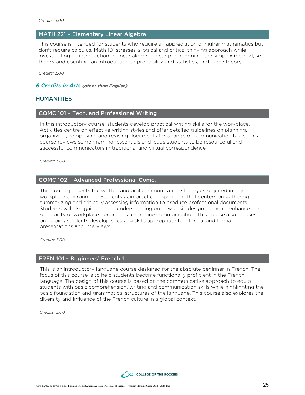#### MATH 221 – Elementary Linear Algebra

This course is intended for students who require an appreciation of higher mathematics but don't require calculus. Math 101 stresses a logical and critical thinking approach while investigating an introduction to linear algebra, linear programming, the simplex method, set theory and counting, an introduction to probability and statistics, and game theory

*Credits: 3.00*

#### *6 Credits in Arts (other than English)*

#### HUMANITIES

#### COMC 101 – Tech. and Professional Writing

In this introductory course, students develop practical writing skills for the workplace. Activities centre on effective writing styles and offer detailed guidelines on planning, organizing, composing, and revising documents for a range of communication tasks. This course reviews some grammar essentials and leads students to be resourceful and successful communicators in traditional and virtual correspondence.

*Credits: 3.00*

#### COMC 102 – Advanced Professional Comc.

This course presents the written and oral communication strategies required in any workplace environment. Students gain practical experience that centers on gathering, summarizing and critically assessing information to produce professional documents. Students will also gain a better understanding on how basic design elements enhance the readability of workplace documents and online communication. This course also focuses on helping students develop speaking skills appropriate to informal and formal presentations and interviews.

*Credits: 3.00*

#### FREN 101 – Beginners' French 1

This is an introductory language course designed for the absolute beginner in French. The focus of this course is to help students become functionally proficient in the French language. The design of this course is based on the communicative approach to equip students with basic comprehension, writing and communication skills while highlighting the basic foundation and grammatical structures of the language. This course also explores the diversity and influence of the French culture in a global context.

![](_page_24_Picture_15.jpeg)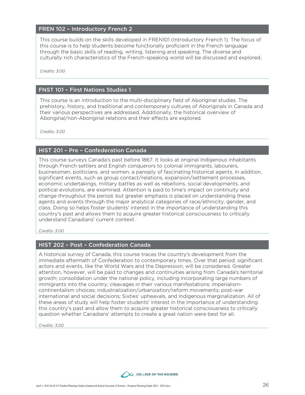#### FREN 102 – Introductory French 2

This course builds on the skills developed in FREN101 (Introductory French 1). The focus of this course is to help students become functionally proficient in the French language through the basic skills of reading, writing, listening and speaking. The diverse and culturally rich characteristics of the French-speaking world will be discussed and explored.

*Credits: 3.00*

#### FNST 101 – First Nations Studies 1

This course is an introduction to the multi-disciplinary field of Aboriginal studies. The prehistory, history, and traditional and contemporary cultures of Aboriginals in Canada and their various perspectives are addressed. Additionally, the historical overview of Aboriginal/non-Aboriginal relations and their effects are explored.

*Credits: 3.00*

#### HIST 201 – Pre – Confederation Canada

This course surveys Canada's past before 1867. It looks at original Indigenous inhabitants through French settlers and English conquerors to colonial immigrants, labourers, businessmen, politicians, and women, a panoply of fascinating historical agents. In addition, significant events, such as group contact/relations, expansion/settlement processes, economic undertakings, military battles as well as rebellions, social developments, and political evolutions, are examined. Attention is paid to time's impact on continuity and change throughout the period, but greater emphasis is placed on understanding these agents and events through the major analytical categories of race/ethnicity, gender, and class. Doing so helps foster students' interest in the importance of understanding this country's past and allows them to acquire greater historical consciousness to critically understand Canadians' current context.

*Credits: 3.00*

#### HIST 202 – Post – Confederation Canada

A historical survey of Canada, this course traces the country's development from the immediate aftermath of Confederation to contemporary times. Over that period, significant actors and events, like the World Wars and the Depression, will be considered. Greater attention, however, will be paid to changes and continuities arising from Canada's territorial growth; consolidation under the national policy, including incorporating large numbers of immigrants into the country; cleavages in their various manifestations; imperialismcontinentalism choices; industrialization/urbanization/reform movements; post-war international and social decisions; Sixties' upheavals, and Indigenous marginalization. All of these areas of study will help foster students' interest in the importance of understanding this country's past and allow them to acquire greater historical consciousness to critically question whether Canadians' attempts to create a great nation were best for all.

![](_page_25_Picture_12.jpeg)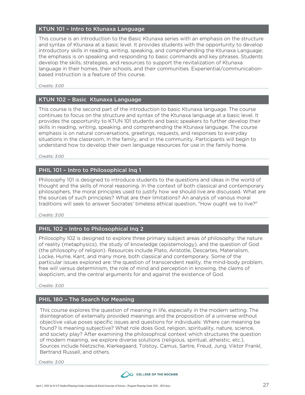#### KTUN 101 – Intro to Ktunaxa Language

This course is an introduction to the Basic Ktunaxa series with an emphasis on the structure and syntax of Ktunaxa at a basic level. It provides students with the opportunity to develop introductory skills in reading, writing, speaking, and comprehending the Ktunaxa Language; the emphasis is on speaking and responding to basic commands and key phrases. Students develop the skills, strategies, and resources to support the revitalization of Ktunaxa language in their homes, their schools, and their communities. Experiential/communicationbased instruction is a feature of this course.

*Credits: 3.00*

#### KTUN 102 – Basic Ktunaxa Language

This course is the second part of the introduction to basic Ktunaxa language. The course continues to focus on the structure and syntax of the Ktunaxa language at a basic level. It provides the opportunity to KTUN 101 students and basic speakers to further develop their skills in reading, writing, speaking, and comprehending the Ktunaxa language. The course emphasis is on natural conversations, greetings, requests, and responses to everyday situations in the classroom, in the family, and in the community. Participants will begin to understand how to develop their own language resources for use in the family home.

*Credits: 3.00*

#### PHIL 101 – Intro to Philosophical Inq 1

Philosophy 101 is designed to introduce students to the questions and ideas in the world of thought and the skills of moral reasoning. In the context of both classical and contemporary philosophers, the moral principles used to justify how we should live are discussed. What are the sources of such principles? What are their limitations? An analysis of various moral traditions will seek to answer Socrates' timeless ethical question, "How ought we to live?"

*Credits: 3.00*

#### PHIL 102 – Intro to Philosophical Inq 2

Philosophy 102 is designed to explore three primary subject areas of philosophy: the nature of reality (metaphysics), the study of knowledge (epistemology), and the question of God (the philosophy of religion). Resources include Plato, Aristotle, Descartes, Materialism, Locke, Hume, Kant, and many more, both classical and contemporary. Some of the particular issues explored are: the question of transcendent reality, the mind-body problem, free will versus determinism, the role of mind and perception in knowing, the claims of skepticism, and the central arguments for and against the existence of God.

*Credits: 3.00*

#### PHIL 180 – The Search for Meaning

This course explores the question of meaning in life, especially in the modern setting. The disintegration of externally provided meanings and the proposition of a universe without objective value poses specific issues and questions for individuals: Where can meaning be found? Is meaning subjective? What role does God, religion, spirituality, nature, science, and society play? After examining the philosophical context which structures the question of modern meaning, we explore diverse solutions (religious, spiritual, atheistic, etc.). Sources include Nietzsche, Kierkegaard, Tolstoy, Camus, Sartre, Freud, Jung, Viktor Frankl, Bertrand Russell, and others.

![](_page_26_Picture_15.jpeg)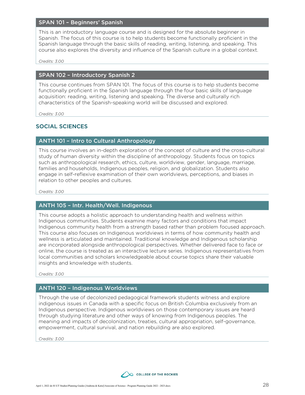#### SPAN 101 – Beginners' Spanish

This is an introductory language course and is designed for the absolute beginner in Spanish. The focus of this course is to help students become functionally proficient in the Spanish language through the basic skills of reading, writing, listening, and speaking. This course also explores the diversity and influence of the Spanish culture in a global context.

*Credits: 3.00*

#### SPAN 102 – Introductory Spanish 2

This course continues from SPAN 101. The focus of this course is to help students become functionally proficient in the Spanish language through the four basic skills of language acquisition: reading, writing, listening and speaking. The diverse and culturally rich characteristics of the Spanish-speaking world will be discussed and explored.

*Credits: 3.00*

#### SOCIAL SCIENCES

#### ANTH 101 – Intro to Cultural Anthropology

This course involves an in-depth exploration of the concept of culture and the cross-cultural study of human diversity within the discipline of anthropology. Students focus on topics such as anthropological research, ethics, culture, worldview, gender, language, marriage, families and households, Indigenous peoples, religion, and globalization. Students also engage in self-reflexive examination of their own worldviews, perceptions, and biases in relation to other peoples and cultures.

*Credits: 3.00*

#### ANTH 105 – Intr. Health/Well. Indigenous

This course adopts a holistic approach to understanding health and wellness within Indigenous communities. Students examine many factors and conditions that impact Indigenous community health from a strength based rather than problem focused approach. This course also focuses on Indigenous worldviews in terms of how community health and wellness is articulated and maintained. Traditional knowledge and Indigenous scholarship are incorporated alongside anthropological perspectives. Whether delivered face to face or online, the course is treated as an interactive lecture series. Indigenous representatives from local communities and scholars knowledgeable about course topics share their valuable insights and knowledge with students.

*Credits: 3.00*

#### ANTH 120 – Indigenous Worldviews

Through the use of decolonized pedagogical framework students witness and explore indigenous issues in Canada with a specific focus on British Columbia exclusively from an Indigenous perspective. Indigenous worldviews on those contemporary issues are heard through studying literature and other ways of knowing from Indigenous peoples. The meaning and impacts of decolonization, treaties, cultural appropriation, self-governance, empowerment, cultural survival, and nation rebuilding are also explored.

![](_page_27_Picture_16.jpeg)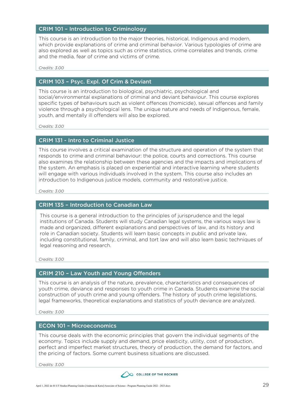#### CRIM 101 – Introduction to Criminology

This course is an introduction to the major theories, historical, Indigenous and modern, which provide explanations of crime and criminal behavior. Various typologies of crime are also explored as well as topics such as crime statistics, crime correlates and trends, crime and the media, fear of crime and victims of crime.

*Credits: 3.00*

#### CRIM 103 – Psyc. Expl. Of Crim & Deviant

This course is an introduction to biological, psychiatric, psychological and social/environmental explanations of criminal and deviant behaviour. This course explores specific types of behaviours such as violent offences (homicide), sexual offences and family violence through a psychological lens. The unique nature and needs of Indigenous, female, youth, and mentally ill offenders will also be explored.

*Credits: 3.00*

#### CRIM 131 - Intro to Criminal Justice

This course involves a critical examination of the structure and operation of the system that responds to crime and criminal behaviour: the police, courts and corrections. This course also examines the relationship between these agencies and the impacts and implications of the system. An emphasis is placed on experiential and interactive learning where students will engage with various individuals involved in the system. This course also includes an introduction to Indigenous justice models, community and restorative justice.

*Credits: 3.00*

#### CRIM 135 – Introduction to Canadian Law

This course is a general introduction to the principles of jurisprudence and the legal institutions of Canada. Students will study Canadian legal systems, the various ways law is made and organized, different explanations and perspectives of law, and its history and role in Canadian society. Students will learn basic concepts in public and private law, including constitutional, family, criminal, and tort law and will also learn basic techniques of legal reasoning and research.

*Credits: 3.00*

#### CRIM 210 – Law Youth and Young Offenders

This course is an analysis of the nature, prevalence, characteristics and consequences of youth crime, deviance and responses to youth crime in Canada. Students examine the social construction of youth crime and young offenders. The history of youth crime legislations, legal frameworks, theoretical explanations and statistics of youth deviance are analyzed.

*Credits: 3.00*

#### ECON 101 – Microeconomics

This course deals with the economic principles that govern the individual segments of the economy. Topics include supply and demand, price elasticity, utility, cost of production, perfect and imperfect market structures, theory of production, the demand for factors, and the pricing of factors. Some current business situations are discussed.

![](_page_28_Picture_18.jpeg)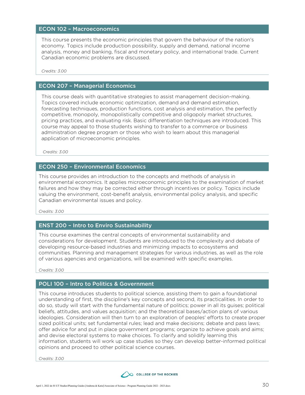#### ECON 102 – Macroeconomics

This course presents the economic principles that govern the behaviour of the nation's economy. Topics include production possibility, supply and demand, national income analysis, money and banking, fiscal and monetary policy, and international trade. Current Canadian economic problems are discussed.

*Credits: 3.00*

#### ECON 207 – Managerial Economics

This course deals with quantitative strategies to assist management decision-making. Topics covered include economic optimization, demand and demand estimation, forecasting techniques, production functions, cost analysis and estimation, the perfectly competitive, monopoly, monopolistically competitive and oligopoly market structures, pricing practices, and evaluating risk. Basic differentiation techniques are introduced. This course may appeal to those students wishing to transfer to a commerce or business administration degree program or those who wish to learn about this managerial application of microeconomic principles.

*Credits: 3.00*

#### ECON 250 – Environmental Economics

This course provides an introduction to the concepts and methods of analysis in environmental economics. It applies microeconomic principles to the examination of market failures and how they may be corrected either through incentives or policy. Topics include valuing the environment, cost-benefit analysis, environmental policy analysis, and specific Canadian environmental issues and policy.

*Credits: 3.00*

#### ENST 200 – Intro to Enviro Sustainability

This course examines the central concepts of environmental sustainability and considerations for development. Students are introduced to the complexity and debate of developing resource-based industries and minimizing impacts to ecosystems and communities. Planning and management strategies for various industries, as well as the role of various agencies and organizations, will be examined with specific examples.

*Credits: 3.00*

#### POLI 100 – Intro to Politics & Government

This course introduces students to political science, assisting them to gain a foundational understanding of first, the discipline's key concepts and second, its practicalities. In order to do so, study will start with the fundamental nature of politics; power in all its guises; political beliefs, attitudes, and values acquisition; and the theoretical bases/action plans of various ideologies. Consideration will then turn to an exploration of peoples' efforts to create proper sized political units; set fundamental rules; lead and make decisions; debate and pass laws; offer advice for and put in place government programs; organize to achieve goals and aims; and devise electoral systems to make choices. To clarify and solidify learning this information, students will work up case studies so they can develop better-informed political opinions and proceed to other political science courses.

![](_page_29_Picture_15.jpeg)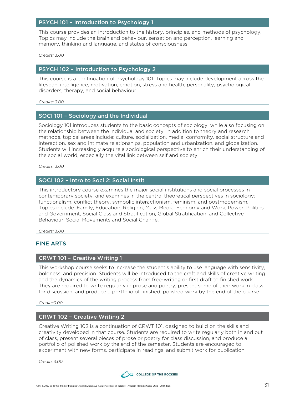#### PSYCH 101 – Introduction to Psychology 1

This course provides an introduction to the history, principles, and methods of psychology. Topics may include the brain and behaviour, sensation and perception, learning and memory, thinking and language, and states of consciousness.

*Credits: 3.00*

#### PSYCH 102 – Introduction to Psychology 2

This course is a continuation of Psychology 101. Topics may include development across the lifespan, intelligence, motivation, emotion, stress and health, personality, psychological disorders, therapy, and social behaviour.

*Credits: 3.00*

#### SOCI 101 – Sociology and the Individual

Sociology 101 introduces students to the basic concepts of sociology, while also focusing on the relationship between the individual and society. In addition to theory and research methods, topical areas include: culture, socialization, media, conformity, social structure and interaction, sex and intimate relationships, population and urbanization, and globalization. Students will increasingly acquire a sociological perspective to enrich their understanding of the social world, especially the vital link between self and society.

*Credits: 3.00*

#### SOCI 102 – Intro to Soci 2: Social Instit

This introductory course examines the major social institutions and social processes in contemporary society, and examines in the central theoretical perspectives in sociology: functionalism, conflict theory, symbolic interactionism, feminism, and postmodernism. Topics include: Family, Education, Religion, Mass Media, Economy and Work, Power, Politics and Government, Social Class and Stratification, Global Stratification, and Collective Behaviour, Social Movements and Social Change.

*Credits: 3.00*

#### FINE ARTS

#### CRWT 101 – Creative Writing 1

This workshop course seeks to increase the student's ability to use language with sensitivity, boldness, and precision. Students will be introduced to the craft and skills of creative writing and the dynamics of the writing process from free-writing or first draft to finished work. They are required to write regularly in prose and poetry, present some of their work in class for discussion, and produce a portfolio of finished, polished work by the end of the course

*Credits:3.00*

#### CRWT 102 – Creative Writing 2

Creative Writing 102 is a continuation of CRWT 101, designed to build on the skills and creativity developed in that course. Students are required to write regularly both in and out of class, present several pieces of prose or poetry for class discussion, and produce a portfolio of polished work by the end of the semester. Students are encouraged to experiment with new forms, participate in readings, and submit work for publication.

![](_page_30_Picture_19.jpeg)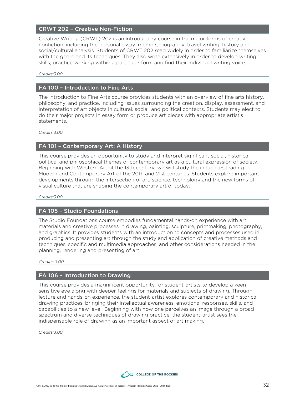#### CRWT 202 – Creative Non-Fiction

Creative Writing (CRWT) 202 is an introductory course in the major forms of creative nonfiction, including the personal essay, memoir, biography, travel writing, history and social/cultural analysis. Students of CRWT 202 read widely in order to familiarize themselves with the genre and its techniques. They also write extensively in order to develop writing skills, practice working within a particular form and find their individual writing voice.

*Credits:3.00*

#### FA 100 – Introduction to Fine Arts

The Introduction to Fine Arts course provides students with an overview of fine arts history, philosophy, and practice, including issues surrounding the creation, display, assessment, and interpretation of art objects in cultural, social, and political contexts. Students may elect to do their major projects in essay form or produce art pieces with appropriate artist's statements.

*Credits:3.00*

#### FA 101 – Contemporary Art: A History

This course provides an opportunity to study and interpret significant social, historical, political and philosophical themes of contemporary art as a cultural expression of society. Beginning with Western Art of the 13th century, we will study the influences leading to Modern and Contemporary Art of the 20th and 21st centuries. Students explore important developments through the intersection of art, science, technology and the new forms of visual culture that are shaping the contemporary art of today.

*Credits:3.00*

#### FA 105 – Studio Foundations

The Studio Foundations course embodies fundamental hands-on experience with art materials and creative processes in drawing, painting, sculpture, printmaking, photography, and graphics. It provides students with an introduction to concepts and processes used in producing and presenting art through the study and application of creative methods and techniques, specific and multimedia approaches, and other considerations needed in the planning, rendering and presenting of art.

*Credits: 3.00*

#### FA 106 – Introduction to Drawing

This course provides a magnificent opportunity for student-artists to develop a keen sensitive eye along with deeper feelings for materials and subjects of drawing. Through lecture and hands-on experience, the student-artist explores contemporary and historical drawing practices, bringing their intellectual awareness, emotional responses, skills, and capabilities to a new level. Beginning with how one perceives an image through a broad spectrum and diverse techniques of drawing practice, the student-artist sees the indispensable role of drawing as an important aspect of art making.

![](_page_31_Picture_15.jpeg)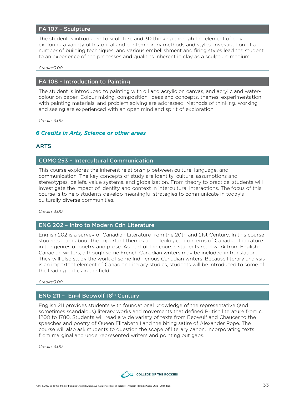#### FA 107 – Sculpture

The student is introduced to sculpture and 3D thinking through the element of clay, exploring a variety of historical and contemporary methods and styles. Investigation of a number of building techniques, and various embellishment and firing styles lead the student to an experience of the processes and qualities inherent in clay as a sculpture medium.

*Credits:3.00*

#### FA 108 – Introduction to Painting

The student is introduced to painting with oil and acrylic on canvas, and acrylic and watercolour on paper. Colour mixing, composition, ideas and concepts, themes, experimentation with painting materials, and problem solving are addressed. Methods of thinking, working and seeing are experienced with an open mind and spirit of exploration.

*Credits:3.00*

#### *6 Credits in Arts, Science or other areas*

#### ARTS

#### COMC 253 – Intercultural Communication

This course explores the inherent relationship between culture, language, and communication. The key concepts of study are identity, culture, assumptions and stereotypes, beliefs, value systems, and globalization. From theory to practice, students will investigate the impact of identity and context in intercultural interactions. The focus of this course is to help students develop meaningful strategies to communicate in today's culturally diverse communities.

*Credits:3.00*

#### ENG 202 – Intro to Modern Cdn Literature

English 202 is a survey of Canadian Literature from the 20th and 21st Century. In this course students learn about the important themes and ideological concerns of Canadian Literature in the genres of poetry and prose. As part of the course, students read work from English-Canadian writers, although some French Canadian writers may be included in translation. They will also study the work of some Indigenous Canadian writers. Because literary analysis is an important element of Canadian Literary studies, students will be introduced to some of the leading critics in the field.

*Credits:3.00*

#### ENG 211 – Engl Beowolf 18th Century

English 211 provides students with foundational knowledge of the representative (and sometimes scandalous) literary works and movements that defined British literature from c. 1200 to 1780. Students will read a wide variety of texts from Beowulf and Chaucer to the speeches and poetry of Queen Elizabeth I and the biting satire of Alexander Pope. The course will also ask students to question the scope of literary canon, incorporating texts from marginal and underrepresented writers and pointing out gaps.

![](_page_32_Picture_17.jpeg)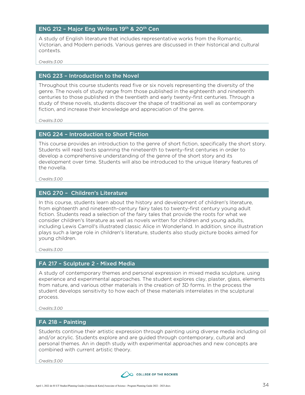#### ENG 212 - Major Eng Writers 19th & 20th Cen

A study of English literature that includes representative works from the Romantic, Victorian, and Modern periods. Various genres are discussed in their historical and cultural contexts.

*Credits:3.00*

#### ENG 223 – Introduction to the Novel

Throughout this course students read five or six novels representing the diversity of the genre. The novels of study range from those published in the eighteenth and nineteenth centuries to those published in the twentieth and early twenty-first centuries. Through a study of these novels, students discover the shape of traditional as well as contemporary fiction, and increase their knowledge and appreciation of the genre.

*Credits:3.00*

#### ENG 224 – Introduction to Short Fiction

This course provides an introduction to the genre of short fiction, specifically the short story. Students will read texts spanning the nineteenth to twenty-first centuries in order to develop a comprehensive understanding of the genre of the short story and its development over time. Students will also be introduced to the unique literary features of the novella.

*Credits:3.00*

#### ENG 270 – Children's Literature

In this course, students learn about the history and development of children's literature, from eighteenth and nineteenth-century fairy tales to twenty-first century young adult fiction. Students read a selection of the fairy tales that provide the roots for what we consider children's literature as well as novels written for children and young adults, including Lewis Carroll's illustrated classic Alice in Wonderland. In addition, since illustration plays such a large role in children's literature, students also study picture books aimed for young children.

*Credits:3.00*

#### FA 217 – Sculpture 2 - Mixed Media

A study of contemporary themes and personal expression in mixed media sculpture, using experience and experimental approaches. The student explores clay, plaster, glass, elements from nature, and various other materials in the creation of 3D forms. In the process the student develops sensitivity to how each of these materials interrelates in the sculptural process.

*Credits:3.00*

#### FA 218 – Painting

Students continue their artistic expression through painting using diverse media including oil and/or acrylic. Students explore and are guided through contemporary, cultural and personal themes. An in depth study with experimental approaches and new concepts are combined with current artistic theory.

![](_page_33_Picture_18.jpeg)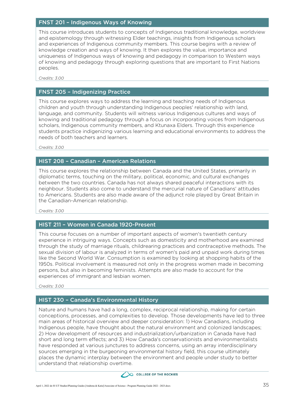#### FNST 201 – Indigenous Ways of Knowing

This course introduces students to concepts of Indigenous traditional knowledge, worldview and epistemology through witnessing Elder teachings, insights from Indigenous scholars and experiences of Indigenous community members. This course begins with a review of knowledge creation and ways of knowing. It then explores the value, importance and uniqueness of Indigenous ways of knowing and pedagogy in comparison to Western ways of knowing and pedagogy through exploring questions that are important to First Nations peoples.

*Credits: 3.00*

#### FNST 205 – Indigenizing Practice

This course explores ways to address the learning and teaching needs of Indigenous children and youth through understanding Indigenous peoples' relationship with land, language, and community. Students will witness various Indigenous cultures and ways of knowing and traditional pedagogy through a focus on incorporating voices from Indigenous scholars, Indigenous community members, and Ktunaxa Elders. Through this experience students practice indigenizing various learning and educational environments to address the needs of both teachers and learners.

*Credits: 3.00*

#### HIST 208 – Canadian – American Relations

This course explores the relationship between Canada and the United States, primarily in diplomatic terms, touching on the military, political, economic, and cultural exchanges between the two countries. Canada has not always shared peaceful interactions with its neighbour. Students also come to understand the mercurial nature of Canadians' attitudes to Americans. Students are also made aware of the adjunct role played by Great Britain in the Canadian-American relationship.

*Credits: 3.00*

#### HIST 211 – Women in Canada 1920-Present

This course focuses on a number of important aspects of women's twentieth century experience in intriguing ways. Concepts such as domesticity and motherhood are examined through the study of marriage rituals, childrearing practices and contraceptive methods. The sexual division of labour is analyzed in terms of women's paid and unpaid work during times like the Second World War. Consumption is examined by looking at shopping habits of the 1950s. Political involvement is measured not only in the progress women made in becoming persons, but also in becoming feminists. Attempts are also made to account for the experiences of immigrant and lesbian women.

*Credits: 3.00*

#### HIST 230 – Canada's Environmental History

Nature and humans have had a long, complex, reciprocal relationship, making for certain conceptions, processes, and complexities to develop. Those developments have led to three main areas of historical overview and deeper consideration: 1) How Canadians, including Indigenous people, have thought about the natural environment and colonized landscapes; 2) How development of resources and industrialization/urbanization in Canada have had short and long term effects; and 3) How Canada's conservationists and environmentalists have responded at various junctures to address concerns, using an array interdisciplinary sources emerging in the burgeoning environmental history field, this course ultimately places the dynamic interplay between the environment and people under study to better understand that relationship overtime.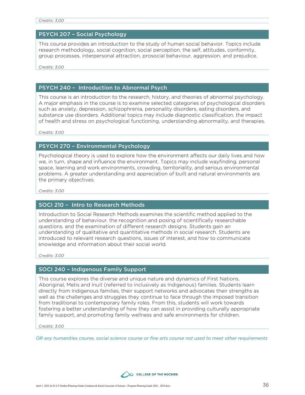#### *Credits: 3.00*

#### PSYCH 207 – Social Psychology

This course provides an introduction to the study of human social behavior. Topics include research methodology, social cognition, social perception, the self, attitudes, conformity, group processes, interpersonal attraction, prosocial behaviour, aggression, and prejudice.

*Credits: 3.00*

#### PSYCH 240 – Introduction to Abnormal Psych

This course is an introduction to the research, history, and theories of abnormal psychology. A major emphasis in the course is to examine selected categories of psychological disorders such as anxiety, depression, schizophrenia, personality disorders, eating disorders, and substance use disorders. Additional topics may include diagnostic classification, the impact of health and stress on psychological functioning, understanding abnormality, and therapies.

*Credits: 3.00*

#### PSYCH 270 – Environmental Psychology

Psychological theory is used to explore how the environment affects our daily lives and how we, in turn, shape and influence the environment. Topics may include wayfinding, personal space, learning and work environments, crowding, territoriality, and serious environmental problems. A greater understanding and appreciation of built and natural environments are the primary objectives.

*Credits: 3.00*

#### SOCI 210 – Intro to Research Methods

Introduction to Social Research Methods examines the scientific method applied to the understanding of behaviour, the recognition and posing of scientifically researchable questions, and the examination of different research designs. Students gain an understanding of qualitative and quantitative methods in social research. Students are introduced to relevant research questions, issues of interest, and how to communicate knowledge and information about their social world.

*Credits: 3.00*

#### SOCI 240 – Indigenous Family Support

This course explores the diverse and unique nature and dynamics of First Nations, Aboriginal, Metis and Inuit (referred to inclusively as Indigenous) families. Students learn directly from Indigenous families, their support networks and advocates their strengths as well as the challenges and struggles they continue to face through the imposed transition from traditional to contemporary family roles. From this, students will work towards fostering a better understanding of how they can assist in providing culturally appropriate family support, and promoting family wellness and safe environments for children.

*Credits: 3.00*

*OR any humanities course, social science course or fine arts course not used to meet other requirements*

![](_page_35_Picture_17.jpeg)